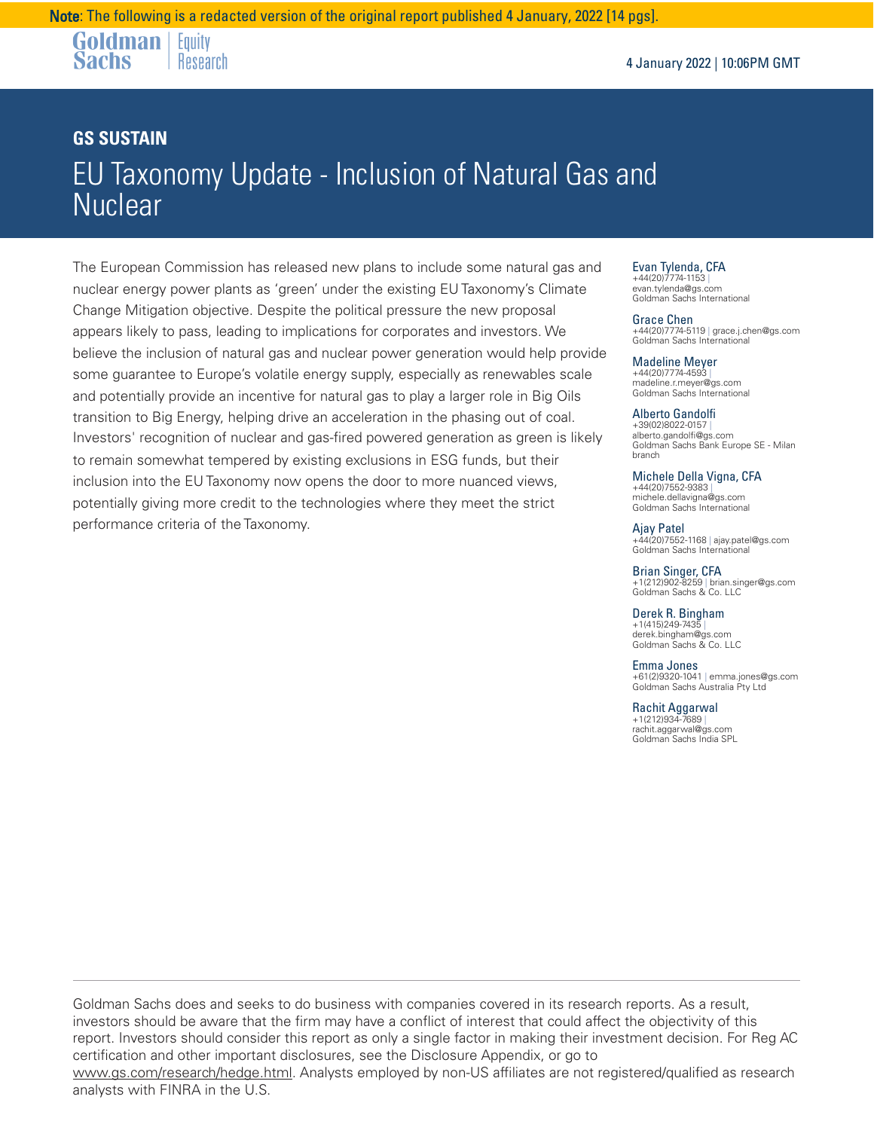Goldman Equity **Sachs** Research

#### 4 January 2022 | 10:06PM GMT

# **GS SUSTAIN** EU Taxonomy Update - Inclusion of Natural Gas and **Nuclear**

The European Commission has released new plans to include some natural gas and nuclear energy power plants as 'green' under the existing EU Taxonomy's Climate Change Mitigation objective. Despite the political pressure the new proposal appears likely to pass, leading to implications for corporates and investors. We believe the inclusion of natural gas and nuclear power generation would help provide some guarantee to Europe's volatile energy supply, especially as renewables scale and potentially provide an incentive for natural gas to play a larger role in Big Oils transition to Big Energy, helping drive an acceleration in the phasing out of coal. Investors' recognition of nuclear and gas-fired powered generation as green is likely to remain somewhat tempered by existing exclusions in ESG funds, but their inclusion into the EU Taxonomy now opens the door to more nuanced views, potentially giving more credit to the technologies where they meet the strict performance criteria of the Taxonomy.

Evan Tylenda, CFA +44(20)7774-1153 | [evan.tylenda@gs.com](mailto:evan.tylenda@gs.com?subject=EU%20Taxonomy%20Update%20-%20Inclusion%20of%20Natural%20Gas%20and%20Nuclear) Goldman Sachs International

Grace Chen +44(20)7774-5119 | [grace.j.chen@gs.com](mailto:grace.j.chen@gs.com?subject=EU%20Taxonomy%20Update%20-%20Inclusion%20of%20Natural%20Gas%20and%20Nuclear) Goldman Sachs International

Madeline Meyer +44(20)7774-4593 | [madeline.r.meyer@gs.com](mailto:madeline.r.meyer@gs.com?subject=EU%20Taxonomy%20Update%20-%20Inclusion%20of%20Natural%20Gas%20and%20Nuclear) Goldman Sachs International

Alberto Gandolfi +39(02)8022-0157 | [alberto.gandolfi@gs.com](mailto:alberto.gandolfi@gs.com?subject=EU%20Taxonomy%20Update%20-%20Inclusion%20of%20Natural%20Gas%20and%20Nuclear) Goldman Sachs Bank Europe SE - Milan branch

Michele Della Vigna, CFA +44(20)7552-9383 | [michele.dellavigna@gs.com](mailto:michele.dellavigna@gs.com?subject=EU%20Taxonomy%20Update%20-%20Inclusion%20of%20Natural%20Gas%20and%20Nuclear) Goldman Sachs International

Ajay Patel +44(20)7552-1168 | [ajay.patel@gs.com](mailto:ajay.patel@gs.com?subject=EU%20Taxonomy%20Update%20-%20Inclusion%20of%20Natural%20Gas%20and%20Nuclear) Goldman Sachs International

Brian Singer, CFA +1(212)902-8259 | [brian.singer@gs.com](mailto:brian.singer@gs.com?subject=EU%20Taxonomy%20Update%20-%20Inclusion%20of%20Natural%20Gas%20and%20Nuclear) Goldman Sachs & Co. LLC

Derek R. Bingham  $+1(415)249-7435$ [derek.bingham@gs.com](mailto:derek.bingham@gs.com?subject=EU%20Taxonomy%20Update%20-%20Inclusion%20of%20Natural%20Gas%20and%20Nuclear) Goldman Sachs & Co. LLC

Emma Jones +61(2)9320-1041 | [emma.jones@gs.com](mailto:emma.jones@gs.com?subject=EU%20Taxonomy%20Update%20-%20Inclusion%20of%20Natural%20Gas%20and%20Nuclear) Goldman Sachs Australia Pty Ltd

Rachit Aggarwal +1(212)934-7689 | [rachit.aggarwal@gs.com](mailto:rachit.aggarwal@gs.com?subject=EU%20Taxonomy%20Update%20-%20Inclusion%20of%20Natural%20Gas%20and%20Nuclear) Goldman Sachs India SPL

Goldman Sachs does and seeks to do business with companies covered in its research reports. As a result, investors should be aware that the firm may have a conflict of interest that could affect the objectivity of this report. Investors should consider this report as only a single factor in making their investment decision. For Reg AC certification and other important disclosures, see the Disclosure Appendix, or go to

[www.gs.com/research/hedge.html.](https://www.gs.com/research/hedge.html) Analysts employed by non-US affiliates are not registered/qualified as research analysts with FINRA in the U.S.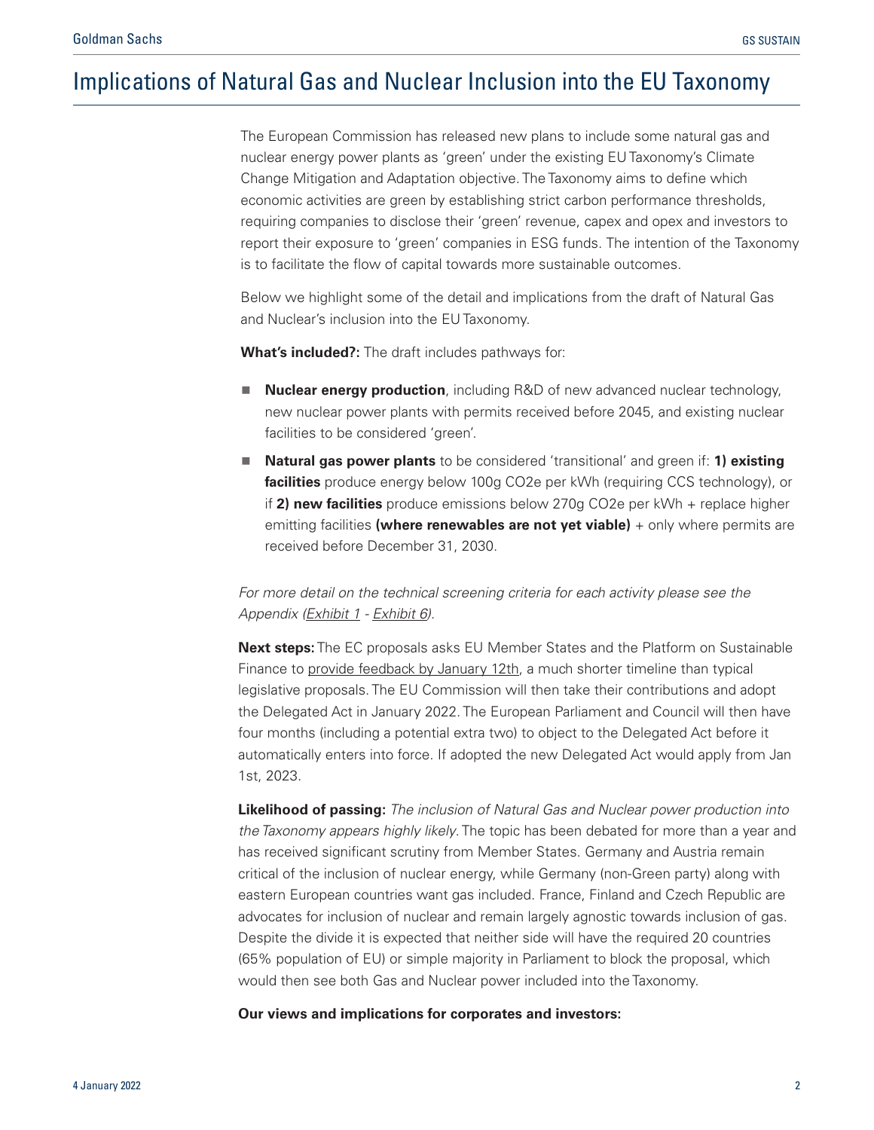## Implications of Natural Gas and Nuclear Inclusion into the EU Taxonomy

The European Commission has released new plans to include some natural gas and nuclear energy power plants as 'green' under the existing EU Taxonomy's Climate Change Mitigation and Adaptation objective. The Taxonomy aims to define which economic activities are green by establishing strict carbon performance thresholds, requiring companies to disclose their 'green' revenue, capex and opex and investors to report their exposure to 'green' companies in ESG funds. The intention of the Taxonomy is to facilitate the flow of capital towards more sustainable outcomes.

Below we highlight some of the detail and implications from the draft of Natural Gas and Nuclear's inclusion into the EU Taxonomy.

**What's included?:** The draft includes pathways for:

- **Nuclear energy production**, including R&D of new advanced nuclear technology, new nuclear power plants with permits received before 2045, and existing nuclear facilities to be considered 'green'.
- **Natural gas power plants** to be considered 'transitional' and green if: **1) existing facilities** produce energy below 100g CO2e per kWh (requiring CCS technology), or if **2) new facilities** produce emissions below 270g CO2e per kWh + replace higher emitting facilities (where renewables are not yet viable) + only where permits are received before December 31, 2030.

## For more detail on the technical screening criteria for each activity please see the Appendix [\(Exhibit 1](#page-3-0) - [Exhibit 6\)](#page-8-0).

**Next steps:** The EC proposals asks EU Member States and the Platform on Sustainable Finance to [provide feedback by January 12th,](https://ec.europa.eu/commission/presscorner/detail/en/IP_22_2) a much shorter timeline than typical legislative proposals. The EU Commission will then take their contributions and adopt the Delegated Act in January 2022. The European Parliament and Council will then have four months (including a potential extra two) to object to the Delegated Act before it automatically enters into force. If adopted the new Delegated Act would apply from Jan 1st, 2023.

**Likelihood of passing:** The inclusion of Natural Gas and Nuclear power production into the Taxonomy appears highly likely. The topic has been debated for more than a year and has received significant scrutiny from Member States. Germany and Austria remain critical of the inclusion of nuclear energy, while Germany (non-Green party) along with eastern European countries want gas included. France, Finland and Czech Republic are advocates for inclusion of nuclear and remain largely agnostic towards inclusion of gas. Despite the divide it is expected that neither side will have the required 20 countries (65% population of EU) or simple majority in Parliament to block the proposal, which would then see both Gas and Nuclear power included into the Taxonomy.

**Our views and implications for corporates and investors:**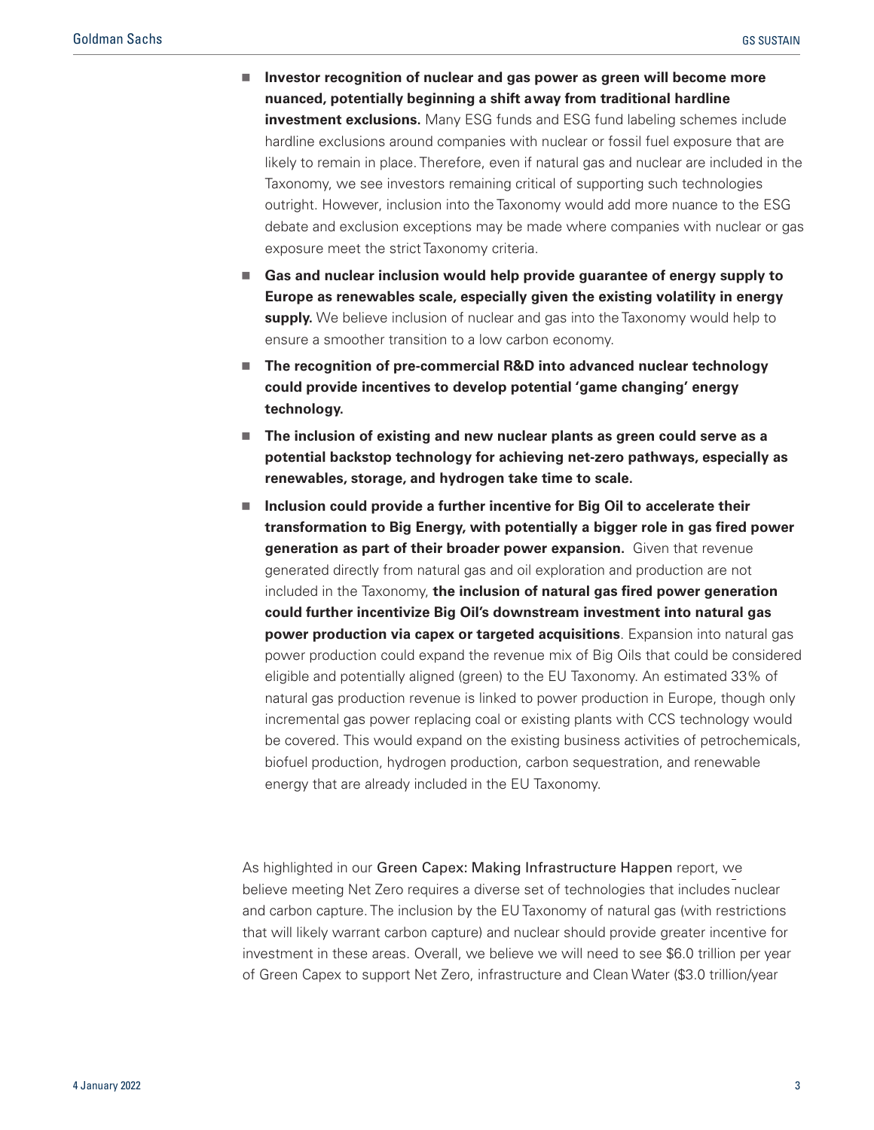- Investor recognition of nuclear and gas power as green will become more **nuanced, potentially beginning a shift away from traditional hardline investment exclusions.** Many ESG funds and ESG fund labeling schemes include hardline exclusions around companies with nuclear or fossil fuel exposure that are likely to remain in place. Therefore, even if natural gas and nuclear are included in the Taxonomy, we see investors remaining critical of supporting such technologies outright. However, inclusion into the Taxonomy would add more nuance to the ESG debate and exclusion exceptions may be made where companies with nuclear or gas exposure meet the strict Taxonomy criteria.
- Gas and nuclear inclusion would help provide guarantee of energy supply to **Europe as renewables scale, especially given the existing volatility in energy supply.** We believe inclusion of nuclear and gas into the Taxonomy would help to ensure a smoother transition to a low carbon economy.
- The recognition of pre-commercial R&D into advanced nuclear technology **could provide incentives to develop potential 'game changing' energy technology.**
- The inclusion of existing and new nuclear plants as green could serve as a **potential backstop technology for achieving net-zero pathways, especially as renewables, storage, and hydrogen take time to scale.**
- Inclusion could provide a further incentive for Big Oil to accelerate their **transformation to Big Energy, with potentially a bigger role in gas fired power generation as part of their broader power expansion.** Given that revenue generated directly from natural gas and oil exploration and production are not included in the Taxonomy, **the inclusion of natural gas fired power generation could further incentivize Big Oil's downstream investment into natural gas power production via capex or targeted acquisitions**. Expansion into natural gas power production could expand the revenue mix of Big Oils that could be considered eligible and potentially aligned (green) to the EU Taxonomy. An estimated 33% of natural gas production revenue is linked to power production in Europe, though only incremental gas power replacing coal or existing plants with CCS technology would be covered. This would expand on the existing business activities of petrochemicals, biofuel production, hydrogen production, carbon sequestration, and renewable energy that are already included in the EU Taxonomy.

As highlighted in our Green Capex: Making Infrastructure Happen report, [we](https://publishing.gs.com/content/research/en/reports/2021/03/11/5402a473-6fa3-4fdf-a32a-5ce52530992a.html) believe meeting Net Zero requires a diverse set of technologies that includes nuclear and carbon capture. The inclusion by the EU Taxonomy of natural gas (with restrictions that will likely warrant carbon capture) and nuclear should provide greater incentive for investment in these areas. Overall, we believe we will need to see \$6.0 trillion per year of Green Capex to support Net Zero, infrastructure and Clean Water (\$3.0 trillion/year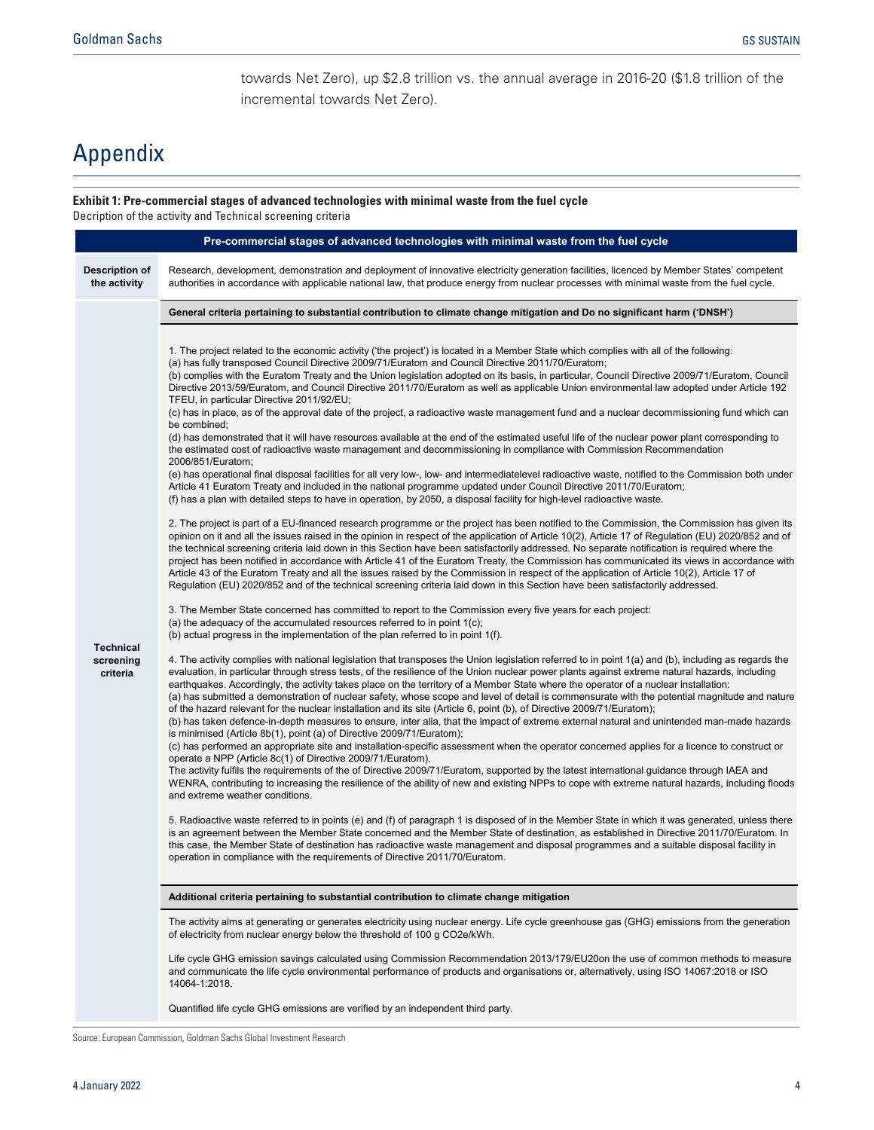<span id="page-3-0"></span>towards Net Zero), up \$2.8 trillion vs. the annual average in 2016-20 (\$1.8 trillion of the incremental towards Net Zero).

# Appendix

**Exhibit 1: Pre-commercial stages of advanced technologies with minimal waste from the fuel cycle** Decription of the activity and Technical screening criteria

|                                       | Pre-commercial stages of advanced technologies with minimal waste from the fuel cycle                                                                                                                                                                                                                                                                                                                                                                                                                                                                                                                                                                                                                                                                                                                                                                                                                                                                                                                                                                                                                                                                                                                                                                                                                                                                                                                                                                                                                                                                                                                                                                                                                                                                                                                                                                                                                                                                                                                                                                                                                                                                                                                                                                                                                                                                                                                                                                                                                                                                                                                                                                                                                                                                                                                                                                                                                                                                                                                                                                                                                                                                                                                                                                                                                                                                                                                                                                                                                                                                                                                                                                                                                                                                                                                                                                                                                                                                                                                                                                                                                                                                                                                                                                                                                                                                                                                                                                                                                                                                                                                                                                                                                                                                                                                                                                                                                                                                                                                                                                                                                                                                                                                                                                                                                                                                                 |  |  |  |  |  |  |
|---------------------------------------|-----------------------------------------------------------------------------------------------------------------------------------------------------------------------------------------------------------------------------------------------------------------------------------------------------------------------------------------------------------------------------------------------------------------------------------------------------------------------------------------------------------------------------------------------------------------------------------------------------------------------------------------------------------------------------------------------------------------------------------------------------------------------------------------------------------------------------------------------------------------------------------------------------------------------------------------------------------------------------------------------------------------------------------------------------------------------------------------------------------------------------------------------------------------------------------------------------------------------------------------------------------------------------------------------------------------------------------------------------------------------------------------------------------------------------------------------------------------------------------------------------------------------------------------------------------------------------------------------------------------------------------------------------------------------------------------------------------------------------------------------------------------------------------------------------------------------------------------------------------------------------------------------------------------------------------------------------------------------------------------------------------------------------------------------------------------------------------------------------------------------------------------------------------------------------------------------------------------------------------------------------------------------------------------------------------------------------------------------------------------------------------------------------------------------------------------------------------------------------------------------------------------------------------------------------------------------------------------------------------------------------------------------------------------------------------------------------------------------------------------------------------------------------------------------------------------------------------------------------------------------------------------------------------------------------------------------------------------------------------------------------------------------------------------------------------------------------------------------------------------------------------------------------------------------------------------------------------------------------------------------------------------------------------------------------------------------------------------------------------------------------------------------------------------------------------------------------------------------------------------------------------------------------------------------------------------------------------------------------------------------------------------------------------------------------------------------------------------------------------------------------------------------------------------------------------------------------------------------------------------------------------------------------------------------------------------------------------------------------------------------------------------------------------------------------------------------------------------------------------------------------------------------------------------------------------------------------------------------------------------------------------------------------------------------------------------------------------------------------------------------------------------------------------------------------------------------------------------------------------------------------------------------------------------------------------------------------------------------------------------------------------------------------------------------------------------------------------------------------------------------------------------------------------------------------------------------------------------------------------------------------------------------------------------------------------------------------------------------------------------------------------------------------------------------------------------------------------------------------------------------------------------------------------------------------------------------------------------------------------------------------------------------------------------------------------------------------------------------------------------------|--|--|--|--|--|--|
| <b>Description of</b><br>the activity | Research, development, demonstration and deployment of innovative electricity generation facilities, licenced by Member States' competent<br>authorities in accordance with applicable national law, that produce energy from nuclear processes with minimal waste from the fuel cycle.                                                                                                                                                                                                                                                                                                                                                                                                                                                                                                                                                                                                                                                                                                                                                                                                                                                                                                                                                                                                                                                                                                                                                                                                                                                                                                                                                                                                                                                                                                                                                                                                                                                                                                                                                                                                                                                                                                                                                                                                                                                                                                                                                                                                                                                                                                                                                                                                                                                                                                                                                                                                                                                                                                                                                                                                                                                                                                                                                                                                                                                                                                                                                                                                                                                                                                                                                                                                                                                                                                                                                                                                                                                                                                                                                                                                                                                                                                                                                                                                                                                                                                                                                                                                                                                                                                                                                                                                                                                                                                                                                                                                                                                                                                                                                                                                                                                                                                                                                                                                                                                                               |  |  |  |  |  |  |
|                                       | General criteria pertaining to substantial contribution to climate change mitigation and Do no significant harm ('DNSH')                                                                                                                                                                                                                                                                                                                                                                                                                                                                                                                                                                                                                                                                                                                                                                                                                                                                                                                                                                                                                                                                                                                                                                                                                                                                                                                                                                                                                                                                                                                                                                                                                                                                                                                                                                                                                                                                                                                                                                                                                                                                                                                                                                                                                                                                                                                                                                                                                                                                                                                                                                                                                                                                                                                                                                                                                                                                                                                                                                                                                                                                                                                                                                                                                                                                                                                                                                                                                                                                                                                                                                                                                                                                                                                                                                                                                                                                                                                                                                                                                                                                                                                                                                                                                                                                                                                                                                                                                                                                                                                                                                                                                                                                                                                                                                                                                                                                                                                                                                                                                                                                                                                                                                                                                                              |  |  |  |  |  |  |
| Technical<br>screening<br>criteria    | 1. The project related to the economic activity ('the project') is located in a Member State which complies with all of the following:<br>(a) has fully transposed Council Directive 2009/71/Euratom and Council Directive 2011/70/Euratom;<br>(b) complies with the Euratom Treaty and the Union legislation adopted on its basis, in particular, Council Directive 2009/71/Euratom, Council<br>Directive 2013/59/Euratom, and Council Directive 2011/70/Euratom as well as applicable Union environmental law adopted under Article 192<br>TFEU, in particular Directive 2011/92/EU;<br>(c) has in place, as of the approval date of the project, a radioactive waste management fund and a nuclear decommissioning fund which can<br>be combined;<br>(d) has demonstrated that it will have resources available at the end of the estimated useful life of the nuclear power plant corresponding to<br>the estimated cost of radioactive waste management and decommissioning in compliance with Commission Recommendation<br>2006/851/Euratom;<br>(e) has operational final disposal facilities for all very low-, low- and intermediatelevel radioactive waste, notified to the Commission both under<br>Article 41 Euratom Treaty and included in the national programme updated under Council Directive 2011/70/Euratom;<br>(f) has a plan with detailed steps to have in operation, by 2050, a disposal facility for high-level radioactive waste.<br>2. The project is part of a EU-financed research programme or the project has been notified to the Commission, the Commission has given its<br>opinion on it and all the issues raised in the opinion in respect of the application of Article 10(2), Article 17 of Regulation (EU) 2020/852 and of<br>the technical screening criteria laid down in this Section have been satisfactorily addressed. No separate notification is required where the<br>project has been notified in accordance with Article 41 of the Euratom Treaty, the Commission has communicated its views in accordance with<br>Article 43 of the Euratom Treaty and all the issues raised by the Commission in respect of the application of Article 10(2), Article 17 of<br>Regulation (EU) 2020/852 and of the technical screening criteria laid down in this Section have been satisfactorily addressed.<br>3. The Member State concerned has committed to report to the Commission every five years for each project:<br>(a) the adequacy of the accumulated resources referred to in point 1(c);<br>(b) actual progress in the implementation of the plan referred to in point 1(f).<br>4. The activity complies with national legislation that transposes the Union legislation referred to in point 1(a) and (b), including as regards the<br>evaluation, in particular through stress tests, of the resilience of the Union nuclear power plants against extreme natural hazards, including<br>earthquakes. Accordingly, the activity takes place on the territory of a Member State where the operator of a nuclear installation:<br>(a) has submitted a demonstration of nuclear safety, whose scope and level of detail is commensurate with the potential magnitude and nature<br>of the hazard relevant for the nuclear installation and its site (Article 6, point (b), of Directive 2009/71/Euratom);<br>(b) has taken defence-in-depth measures to ensure, inter alia, that the impact of extreme external natural and unintended man-made hazards<br>is minimised (Article 8b(1), point (a) of Directive 2009/71/Euratom);<br>(c) has performed an appropriate site and installation-specific assessment when the operator concerned applies for a licence to construct or<br>operate a NPP (Article 8c(1) of Directive 2009/71/Euratom).<br>The activity fulfils the requirements of the of Directive 2009/71/Euratom, supported by the latest international guidance through IAEA and<br>WENRA, contributing to increasing the resilience of the ability of new and existing NPPs to cope with extreme natural hazards, including floods<br>and extreme weather conditions.<br>5. Radioactive waste referred to in points (e) and (f) of paragraph 1 is disposed of in the Member State in which it was generated, unless there<br>is an agreement between the Member State concerned and the Member State of destination, as established in Directive 2011/70/Euratom. In<br>this case, the Member State of destination has radioactive waste management and disposal programmes and a suitable disposal facility in<br>operation in compliance with the requirements of Directive 2011/70/Euratom.<br>Additional criteria pertaining to substantial contribution to climate change mitigation<br>The activity aims at generating or generates electricity using nuclear energy. Life cycle greenhouse gas (GHG) emissions from the generation<br>of electricity from nuclear energy below the threshold of 100 g CO2e/kWh.<br>Life cycle GHG emission savings calculated using Commission Recommendation 2013/179/EU20on the use of common methods to measure<br>and communicate the life cycle environmental performance of products and organisations or, alternatively, using ISO 14067:2018 or ISO<br>14064-1:2018.<br>Quantified life cycle GHG emissions are verified by an independent third party. |  |  |  |  |  |  |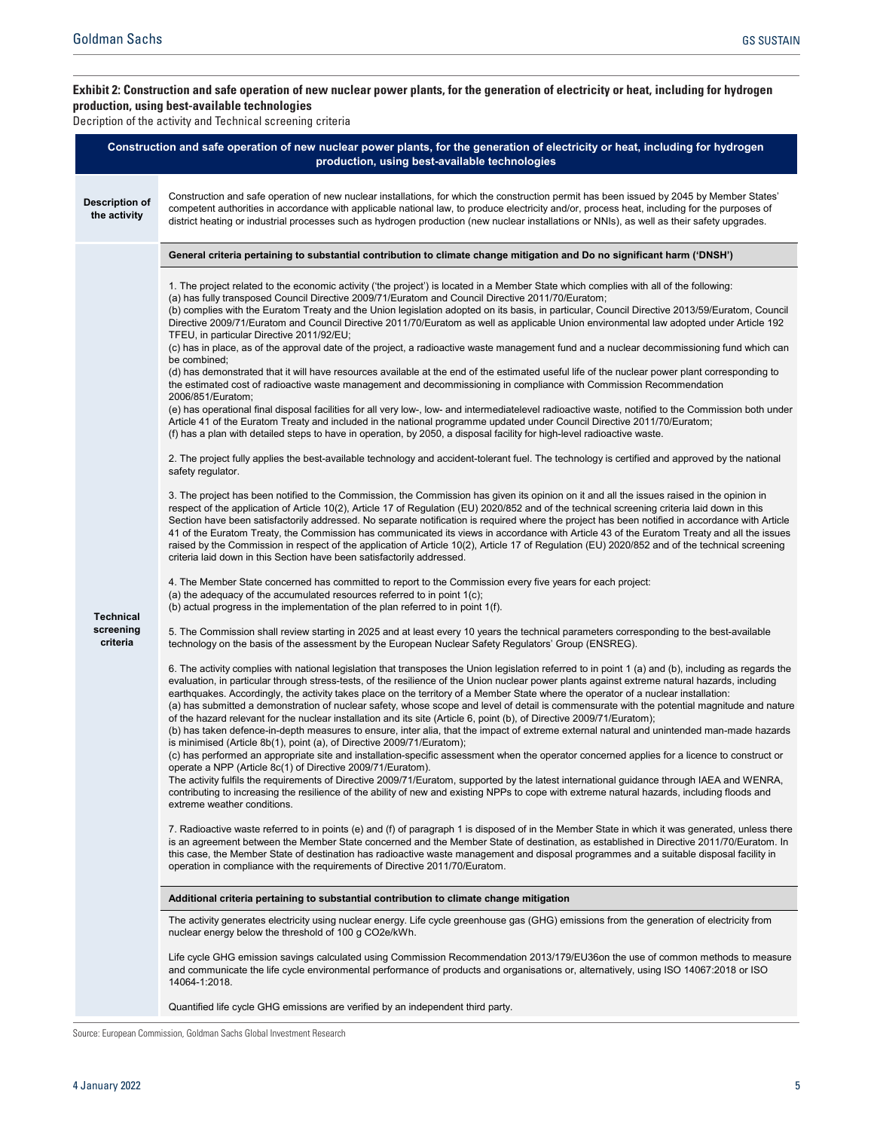#### **Exhibit 2: Construction and safe operation of new nuclear power plants, for the generation of electricity or heat, including for hydrogen production, using best-available technologies** Decription of the activity and Technical screening criteria **Description of the activity** Construction and safe operation of new nuclear installations, for which the construction permit has been issued by 2045 by Member States' competent authorities in accordance with applicable national law, to produce electricity and/or, process heat, including for the purposes of district heating or industrial processes such as hydrogen production (new nuclear installations or NNIs), as well as their safety upgrades. **General criteria pertaining to substantial contribution to climate change mitigation and Do no significant harm ('DNSH') Additional criteria pertaining to substantial contribution to climate change mitigation** The activity generates electricity using nuclear energy. Life cycle greenhouse gas (GHG) emissions from the generation of electricity from nuclear energy below the threshold of 100 g CO2e/kWh. Life cycle GHG emission savings calculated using Commission Recommendation 2013/179/EU36on the use of common methods to measure and communicate the life cycle environmental performance of products and organisations or, alternatively, using ISO 14067:2018 or ISO 14064-1:2018. **Construction and safe operation of new nuclear power plants, for the generation of electricity or heat, including for hydrogen production, using best-available technologies Technical screening criteria** 1. The project related to the economic activity ('the project') is located in a Member State which complies with all of the following: (a) has fully transposed Council Directive 2009/71/Euratom and Council Directive 2011/70/Euratom; (b) complies with the Euratom Treaty and the Union legislation adopted on its basis, in particular, Council Directive 2013/59/Euratom, Council Directive 2009/71/Euratom and Council Directive 2011/70/Euratom as well as applicable Union environmental law adopted under Article 192 TFEU, in particular Directive 2011/92/EU; (c) has in place, as of the approval date of the project, a radioactive waste management fund and a nuclear decommissioning fund which can be combined; (d) has demonstrated that it will have resources available at the end of the estimated useful life of the nuclear power plant corresponding to the estimated cost of radioactive waste management and decommissioning in compliance with Commission Recommendation 2006/851/Euratom; (e) has operational final disposal facilities for all very low-, low- and intermediatelevel radioactive waste, notified to the Commission both under Article 41 of the Euratom Treaty and included in the national programme updated under Council Directive 2011/70/Euratom; (f) has a plan with detailed steps to have in operation, by 2050, a disposal facility for high-level radioactive waste. 2. The project fully applies the best-available technology and accident-tolerant fuel. The technology is certified and approved by the national safety regulator. 3. The project has been notified to the Commission, the Commission has given its opinion on it and all the issues raised in the opinion in respect of the application of Article 10(2), Article 17 of Regulation (EU) 2020/852 and of the technical screening criteria laid down in this Section have been satisfactorily addressed. No separate notification is required where the project has been notified in accordance with Article 41 of the Euratom Treaty, the Commission has communicated its views in accordance with Article 43 of the Euratom Treaty and all the issues raised by the Commission in respect of the application of Article 10(2), Article 17 of Regulation (EU) 2020/852 and of the technical screening criteria laid down in this Section have been satisfactorily addressed. 4. The Member State concerned has committed to report to the Commission every five years for each project: (a) the adequacy of the accumulated resources referred to in point 1(c); (b) actual progress in the implementation of the plan referred to in point 1(f). 5. The Commission shall review starting in 2025 and at least every 10 years the technical parameters corresponding to the best-available technology on the basis of the assessment by the European Nuclear Safety Regulators' Group (ENSREG). 6. The activity complies with national legislation that transposes the Union legislation referred to in point 1 (a) and (b), including as regards the evaluation, in particular through stress-tests, of the resilience of the Union nuclear power plants against extreme natural hazards, including earthquakes. Accordingly, the activity takes place on the territory of a Member State where the operator of a nuclear installation: (a) has submitted a demonstration of nuclear safety, whose scope and level of detail is commensurate with the potential magnitude and nature of the hazard relevant for the nuclear installation and its site (Article 6, point (b), of Directive 2009/71/Euratom); (b) has taken defence-in-depth measures to ensure, inter alia, that the impact of extreme external natural and unintended man-made hazards is minimised (Article 8b(1), point (a), of Directive 2009/71/Euratom); (c) has performed an appropriate site and installation-specific assessment when the operator concerned applies for a licence to construct or operate a NPP (Article 8c(1) of Directive 2009/71/Euratom). The activity fulfils the requirements of Directive 2009/71/Euratom, supported by the latest international guidance through IAEA and WENRA, contributing to increasing the resilience of the ability of new and existing NPPs to cope with extreme natural hazards, including floods and extreme weather conditions. 7. Radioactive waste referred to in points (e) and (f) of paragraph 1 is disposed of in the Member State in which it was generated, unless there is an agreement between the Member State concerned and the Member State of destination, as established in Directive 2011/70/Euratom. In this case, the Member State of destination has radioactive waste management and disposal programmes and a suitable disposal facility in operation in compliance with the requirements of Directive 2011/70/Euratom.

Quantified life cycle GHG emissions are verified by an independent third party.

Source: European Commission, Goldman Sachs Global Investment Research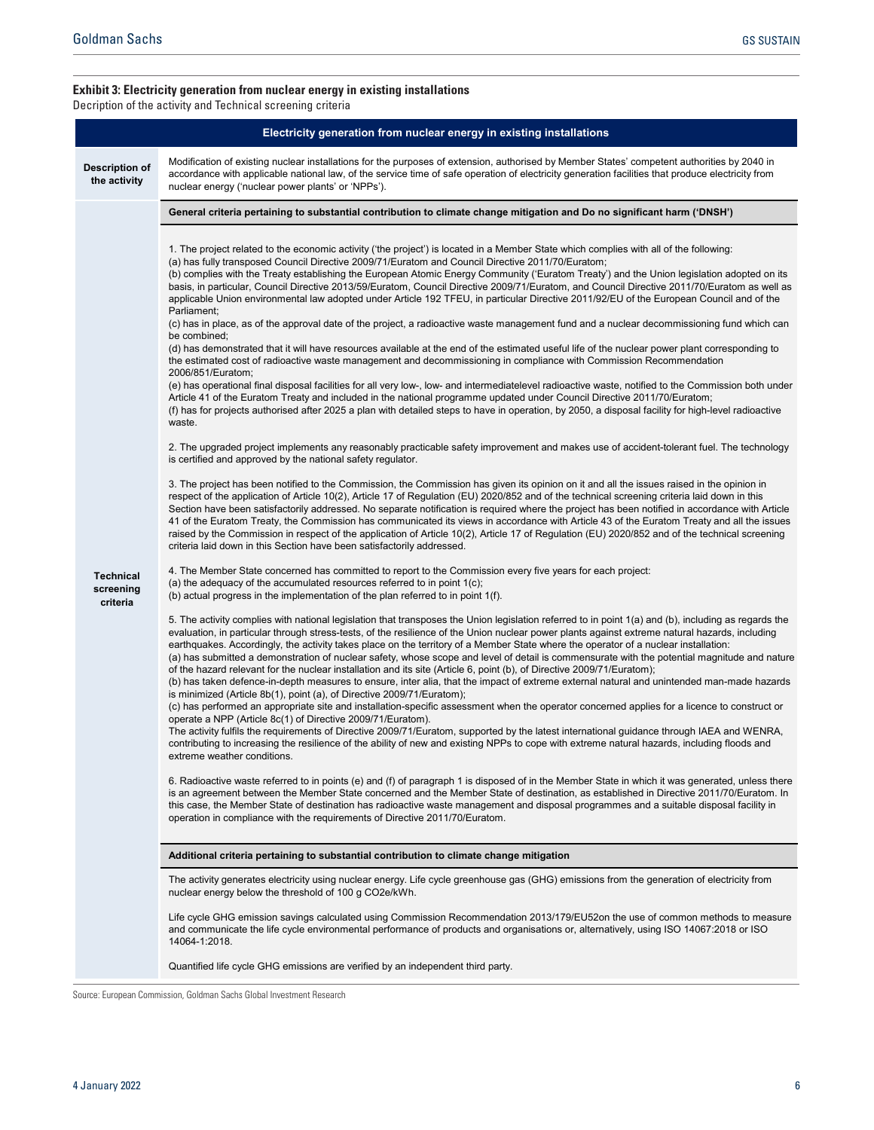#### **Exhibit 3: Electricity generation from nuclear energy in existing installations**

Decription of the activity and Technical screening criteria

|                                           | Electricity generation from nuclear energy in existing installations                                                                                                                                                                                                                                                                                                                                                                                                                                                                                                                                                                                                                                                                                                                                                                                                                                                                                                                                                                                                                                                                                                                                                                                                                                                                                                                                                                                                                                                                                                                                                                                                                                                                                                                                                             |
|-------------------------------------------|----------------------------------------------------------------------------------------------------------------------------------------------------------------------------------------------------------------------------------------------------------------------------------------------------------------------------------------------------------------------------------------------------------------------------------------------------------------------------------------------------------------------------------------------------------------------------------------------------------------------------------------------------------------------------------------------------------------------------------------------------------------------------------------------------------------------------------------------------------------------------------------------------------------------------------------------------------------------------------------------------------------------------------------------------------------------------------------------------------------------------------------------------------------------------------------------------------------------------------------------------------------------------------------------------------------------------------------------------------------------------------------------------------------------------------------------------------------------------------------------------------------------------------------------------------------------------------------------------------------------------------------------------------------------------------------------------------------------------------------------------------------------------------------------------------------------------------|
| <b>Description of</b><br>the activity     | Modification of existing nuclear installations for the purposes of extension, authorised by Member States' competent authorities by 2040 in<br>accordance with applicable national law, of the service time of safe operation of electricity generation facilities that produce electricity from<br>nuclear energy ('nuclear power plants' or 'NPPs').                                                                                                                                                                                                                                                                                                                                                                                                                                                                                                                                                                                                                                                                                                                                                                                                                                                                                                                                                                                                                                                                                                                                                                                                                                                                                                                                                                                                                                                                           |
|                                           | General criteria pertaining to substantial contribution to climate change mitigation and Do no significant harm ('DNSH')                                                                                                                                                                                                                                                                                                                                                                                                                                                                                                                                                                                                                                                                                                                                                                                                                                                                                                                                                                                                                                                                                                                                                                                                                                                                                                                                                                                                                                                                                                                                                                                                                                                                                                         |
|                                           | 1. The project related to the economic activity ('the project') is located in a Member State which complies with all of the following:<br>(a) has fully transposed Council Directive 2009/71/Euratom and Council Directive 2011/70/Euratom;<br>(b) complies with the Treaty establishing the European Atomic Energy Community ('Euratom Treaty') and the Union legislation adopted on its<br>basis, in particular, Council Directive 2013/59/Euratom, Council Directive 2009/71/Euratom, and Council Directive 2011/70/Euratom as well as<br>applicable Union environmental law adopted under Article 192 TFEU, in particular Directive 2011/92/EU of the European Council and of the<br>Parliament:<br>(c) has in place, as of the approval date of the project, a radioactive waste management fund and a nuclear decommissioning fund which can<br>be combined;<br>(d) has demonstrated that it will have resources available at the end of the estimated useful life of the nuclear power plant corresponding to<br>the estimated cost of radioactive waste management and decommissioning in compliance with Commission Recommendation<br>2006/851/Euratom;<br>(e) has operational final disposal facilities for all very low-, low- and intermediatelevel radioactive waste, notified to the Commission both under<br>Article 41 of the Euratom Treaty and included in the national programme updated under Council Directive 2011/70/Euratom;<br>(f) has for projects authorised after 2025 a plan with detailed steps to have in operation, by 2050, a disposal facility for high-level radioactive<br>waste.<br>2. The upgraded project implements any reasonably practicable safety improvement and makes use of accident-tolerant fuel. The technology<br>is certified and approved by the national safety regulator. |
|                                           | 3. The project has been notified to the Commission, the Commission has given its opinion on it and all the issues raised in the opinion in<br>respect of the application of Article 10(2), Article 17 of Regulation (EU) 2020/852 and of the technical screening criteria laid down in this<br>Section have been satisfactorily addressed. No separate notification is required where the project has been notified in accordance with Article<br>41 of the Euratom Treaty, the Commission has communicated its views in accordance with Article 43 of the Euratom Treaty and all the issues<br>raised by the Commission in respect of the application of Article 10(2), Article 17 of Regulation (EU) 2020/852 and of the technical screening<br>criteria laid down in this Section have been satisfactorily addressed.                                                                                                                                                                                                                                                                                                                                                                                                                                                                                                                                                                                                                                                                                                                                                                                                                                                                                                                                                                                                         |
| <b>Technical</b><br>screening<br>criteria | 4. The Member State concerned has committed to report to the Commission every five years for each project:<br>(a) the adequacy of the accumulated resources referred to in point 1(c);<br>(b) actual progress in the implementation of the plan referred to in point 1(f).                                                                                                                                                                                                                                                                                                                                                                                                                                                                                                                                                                                                                                                                                                                                                                                                                                                                                                                                                                                                                                                                                                                                                                                                                                                                                                                                                                                                                                                                                                                                                       |
|                                           | 5. The activity complies with national legislation that transposes the Union legislation referred to in point 1(a) and (b), including as regards the<br>evaluation, in particular through stress-tests, of the resilience of the Union nuclear power plants against extreme natural hazards, including<br>earthquakes. Accordingly, the activity takes place on the territory of a Member State where the operator of a nuclear installation:<br>(a) has submitted a demonstration of nuclear safety, whose scope and level of detail is commensurate with the potential magnitude and nature<br>of the hazard relevant for the nuclear installation and its site (Article 6, point (b), of Directive 2009/71/Euratom);<br>(b) has taken defence-in-depth measures to ensure, inter alia, that the impact of extreme external natural and unintended man-made hazards<br>is minimized (Article 8b(1), point (a), of Directive 2009/71/Euratom);<br>(c) has performed an appropriate site and installation-specific assessment when the operator concerned applies for a licence to construct or<br>operate a NPP (Article 8c(1) of Directive 2009/71/Euratom).<br>The activity fulfils the requirements of Directive 2009/71/Euratom, supported by the latest international guidance through IAEA and WENRA,<br>contributing to increasing the resilience of the ability of new and existing NPPs to cope with extreme natural hazards, including floods and<br>extreme weather conditions.                                                                                                                                                                                                                                                                                                                                      |
|                                           | 6. Radioactive waste referred to in points (e) and (f) of paragraph 1 is disposed of in the Member State in which it was generated, unless there<br>is an agreement between the Member State concerned and the Member State of destination, as established in Directive 2011/70/Euratom. In<br>this case, the Member State of destination has radioactive waste management and disposal programmes and a suitable disposal facility in<br>operation in compliance with the requirements of Directive 2011/70/Euratom.                                                                                                                                                                                                                                                                                                                                                                                                                                                                                                                                                                                                                                                                                                                                                                                                                                                                                                                                                                                                                                                                                                                                                                                                                                                                                                            |
|                                           | Additional criteria pertaining to substantial contribution to climate change mitigation                                                                                                                                                                                                                                                                                                                                                                                                                                                                                                                                                                                                                                                                                                                                                                                                                                                                                                                                                                                                                                                                                                                                                                                                                                                                                                                                                                                                                                                                                                                                                                                                                                                                                                                                          |
|                                           | The activity generates electricity using nuclear energy. Life cycle greenhouse gas (GHG) emissions from the generation of electricity from<br>nuclear energy below the threshold of 100 g CO2e/kWh.                                                                                                                                                                                                                                                                                                                                                                                                                                                                                                                                                                                                                                                                                                                                                                                                                                                                                                                                                                                                                                                                                                                                                                                                                                                                                                                                                                                                                                                                                                                                                                                                                              |
|                                           | Life cycle GHG emission savings calculated using Commission Recommendation 2013/179/EU52on the use of common methods to measure<br>and communicate the life cycle environmental performance of products and organisations or, alternatively, using ISO 14067:2018 or ISO<br>14064-1:2018.                                                                                                                                                                                                                                                                                                                                                                                                                                                                                                                                                                                                                                                                                                                                                                                                                                                                                                                                                                                                                                                                                                                                                                                                                                                                                                                                                                                                                                                                                                                                        |
|                                           | Quantified life cycle GHG emissions are verified by an independent third party.                                                                                                                                                                                                                                                                                                                                                                                                                                                                                                                                                                                                                                                                                                                                                                                                                                                                                                                                                                                                                                                                                                                                                                                                                                                                                                                                                                                                                                                                                                                                                                                                                                                                                                                                                  |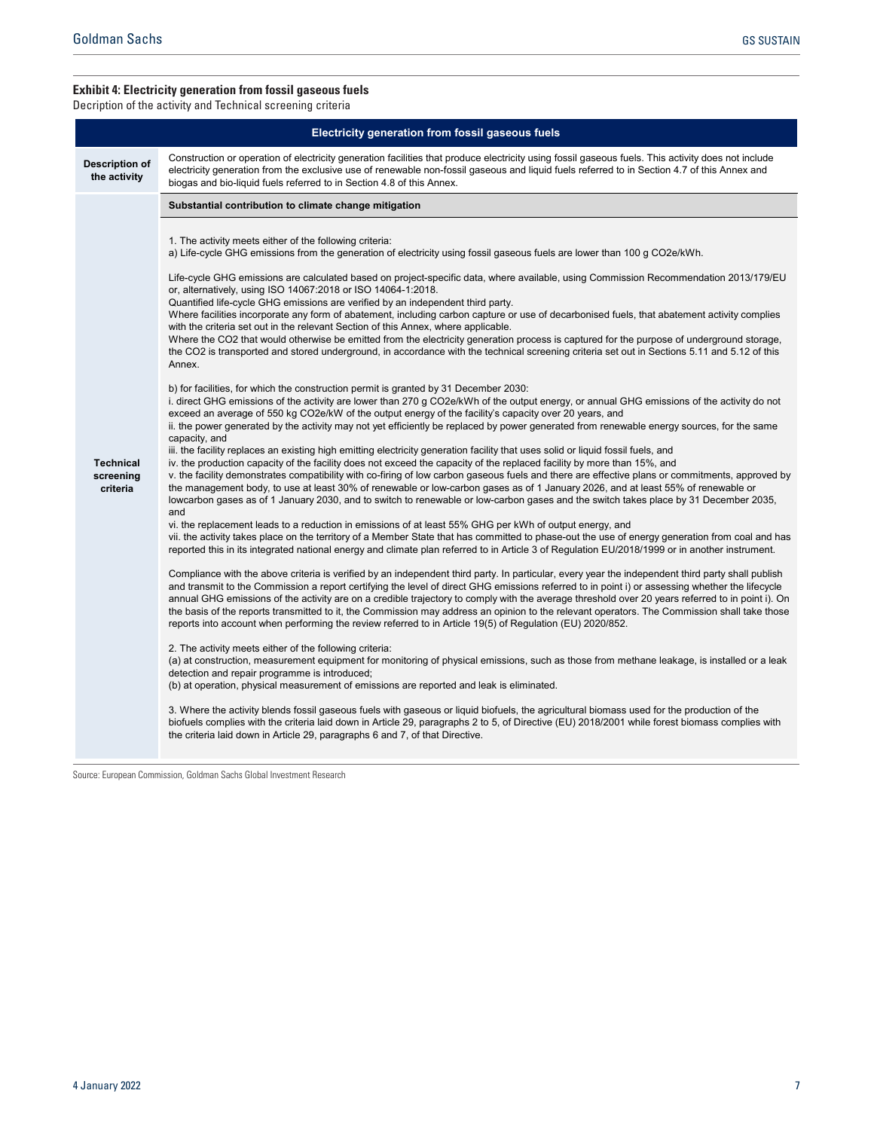#### **Exhibit 4: Electricity generation from fossil gaseous fuels**

Decription of the activity and Technical screening criteria

|                                           | Electricity generation from fossil gaseous fuels                                                                                                                                                                                                                                                                                                                                                                                                                                                                                                                                                                                                                                                                                                                                                                                                                                                                                                                                                                                                                                                                                                                                                                                                                                                                                                                                                                                                                                                                                                                                                                                                                                                                                                                                                                                                                                                                                                                                                                                                                                                                                                                                                                                                                                                                                                                                                                                                                                                                                                                                                                                                                                                                                                                                                                                                                                                                                                                                                                                                                                                                                                                                                                                                                                                                                                                                                                                                                                                                                                                                                                                                                                                                                                                                                                                                                                                                                                                                                                                                                                                                               |
|-------------------------------------------|--------------------------------------------------------------------------------------------------------------------------------------------------------------------------------------------------------------------------------------------------------------------------------------------------------------------------------------------------------------------------------------------------------------------------------------------------------------------------------------------------------------------------------------------------------------------------------------------------------------------------------------------------------------------------------------------------------------------------------------------------------------------------------------------------------------------------------------------------------------------------------------------------------------------------------------------------------------------------------------------------------------------------------------------------------------------------------------------------------------------------------------------------------------------------------------------------------------------------------------------------------------------------------------------------------------------------------------------------------------------------------------------------------------------------------------------------------------------------------------------------------------------------------------------------------------------------------------------------------------------------------------------------------------------------------------------------------------------------------------------------------------------------------------------------------------------------------------------------------------------------------------------------------------------------------------------------------------------------------------------------------------------------------------------------------------------------------------------------------------------------------------------------------------------------------------------------------------------------------------------------------------------------------------------------------------------------------------------------------------------------------------------------------------------------------------------------------------------------------------------------------------------------------------------------------------------------------------------------------------------------------------------------------------------------------------------------------------------------------------------------------------------------------------------------------------------------------------------------------------------------------------------------------------------------------------------------------------------------------------------------------------------------------------------------------------------------------------------------------------------------------------------------------------------------------------------------------------------------------------------------------------------------------------------------------------------------------------------------------------------------------------------------------------------------------------------------------------------------------------------------------------------------------------------------------------------------------------------------------------------------------------------------------------------------------------------------------------------------------------------------------------------------------------------------------------------------------------------------------------------------------------------------------------------------------------------------------------------------------------------------------------------------------------------------------------------------------------------------------------------------------|
| <b>Description of</b><br>the activity     | Construction or operation of electricity generation facilities that produce electricity using fossil gaseous fuels. This activity does not include<br>electricity generation from the exclusive use of renewable non-fossil gaseous and liquid fuels referred to in Section 4.7 of this Annex and<br>biogas and bio-liquid fuels referred to in Section 4.8 of this Annex.                                                                                                                                                                                                                                                                                                                                                                                                                                                                                                                                                                                                                                                                                                                                                                                                                                                                                                                                                                                                                                                                                                                                                                                                                                                                                                                                                                                                                                                                                                                                                                                                                                                                                                                                                                                                                                                                                                                                                                                                                                                                                                                                                                                                                                                                                                                                                                                                                                                                                                                                                                                                                                                                                                                                                                                                                                                                                                                                                                                                                                                                                                                                                                                                                                                                                                                                                                                                                                                                                                                                                                                                                                                                                                                                                     |
|                                           | Substantial contribution to climate change mitigation                                                                                                                                                                                                                                                                                                                                                                                                                                                                                                                                                                                                                                                                                                                                                                                                                                                                                                                                                                                                                                                                                                                                                                                                                                                                                                                                                                                                                                                                                                                                                                                                                                                                                                                                                                                                                                                                                                                                                                                                                                                                                                                                                                                                                                                                                                                                                                                                                                                                                                                                                                                                                                                                                                                                                                                                                                                                                                                                                                                                                                                                                                                                                                                                                                                                                                                                                                                                                                                                                                                                                                                                                                                                                                                                                                                                                                                                                                                                                                                                                                                                          |
| <b>Technical</b><br>screening<br>criteria | 1. The activity meets either of the following criteria:<br>a) Life-cycle GHG emissions from the generation of electricity using fossil gaseous fuels are lower than 100 g CO2e/kWh.<br>Life-cycle GHG emissions are calculated based on project-specific data, where available, using Commission Recommendation 2013/179/EU<br>or, alternatively, using ISO 14067:2018 or ISO 14064-1:2018.<br>Quantified life-cycle GHG emissions are verified by an independent third party.<br>Where facilities incorporate any form of abatement, including carbon capture or use of decarbonised fuels, that abatement activity complies<br>with the criteria set out in the relevant Section of this Annex, where applicable.<br>Where the CO2 that would otherwise be emitted from the electricity generation process is captured for the purpose of underground storage,<br>the CO2 is transported and stored underground, in accordance with the technical screening criteria set out in Sections 5.11 and 5.12 of this<br>Annex.<br>b) for facilities, for which the construction permit is granted by 31 December 2030:<br>i. direct GHG emissions of the activity are lower than 270 g CO2e/kWh of the output energy, or annual GHG emissions of the activity do not<br>exceed an average of 550 kg CO2e/kW of the output energy of the facility's capacity over 20 years, and<br>ii. the power generated by the activity may not yet efficiently be replaced by power generated from renewable energy sources, for the same<br>capacity, and<br>iii. the facility replaces an existing high emitting electricity generation facility that uses solid or liquid fossil fuels, and<br>iv. the production capacity of the facility does not exceed the capacity of the replaced facility by more than 15%, and<br>v. the facility demonstrates compatibility with co-firing of low carbon gaseous fuels and there are effective plans or commitments, approved by<br>the management body, to use at least 30% of renewable or low-carbon gases as of 1 January 2026, and at least 55% of renewable or<br>lowcarbon gases as of 1 January 2030, and to switch to renewable or low-carbon gases and the switch takes place by 31 December 2035,<br>and<br>vi. the replacement leads to a reduction in emissions of at least 55% GHG per kWh of output energy, and<br>vii. the activity takes place on the territory of a Member State that has committed to phase-out the use of energy generation from coal and has<br>reported this in its integrated national energy and climate plan referred to in Article 3 of Regulation EU/2018/1999 or in another instrument.<br>Compliance with the above criteria is verified by an independent third party. In particular, every year the independent third party shall publish<br>and transmit to the Commission a report certifying the level of direct GHG emissions referred to in point i) or assessing whether the lifecycle<br>annual GHG emissions of the activity are on a credible trajectory to comply with the average threshold over 20 years referred to in point i). On<br>the basis of the reports transmitted to it, the Commission may address an opinion to the relevant operators. The Commission shall take those<br>reports into account when performing the review referred to in Article 19(5) of Regulation (EU) 2020/852.<br>2. The activity meets either of the following criteria:<br>(a) at construction, measurement equipment for monitoring of physical emissions, such as those from methane leakage, is installed or a leak<br>detection and repair programme is introduced;<br>(b) at operation, physical measurement of emissions are reported and leak is eliminated.<br>3. Where the activity blends fossil gaseous fuels with gaseous or liquid biofuels, the agricultural biomass used for the production of the<br>biofuels complies with the criteria laid down in Article 29, paragraphs 2 to 5, of Directive (EU) 2018/2001 while forest biomass complies with<br>the criteria laid down in Article 29, paragraphs 6 and 7, of that Directive. |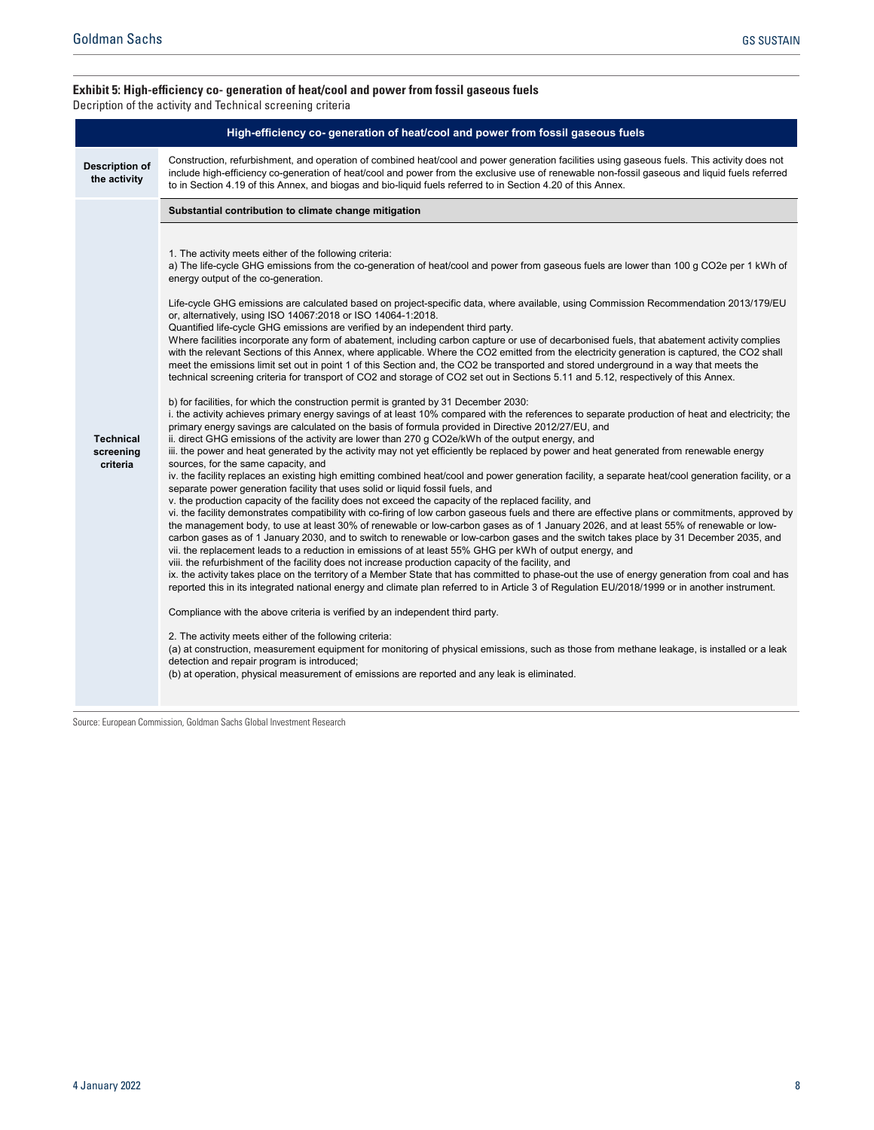#### **Exhibit 5: High-efficiency co- generation of heat/cool and power from fossil gaseous fuels**

Decription of the activity and Technical screening criteria

|                                           | High-efficiency co- generation of heat/cool and power from fossil gaseous fuels                                                                                                                                                                                                                                                                                                                                                                                                                                                                                                                                                                                                                                                                                                                                                                                                                                                                                                                                                                                                                                                                                                                                                                                                                                                                                                                                                                                                                                                                                                                                                                                                                                                                                                                                                                                                                                                                                                                                                                                                                                                                                                                                                                                                                                                                                                                                                                                                                                                                                                                                                                                                                                                                                                                                                                                                                                                                                                                                                                                                                                                                                                                                                                                                                                                                                                                                                                                                                                        |  |  |  |  |  |  |
|-------------------------------------------|------------------------------------------------------------------------------------------------------------------------------------------------------------------------------------------------------------------------------------------------------------------------------------------------------------------------------------------------------------------------------------------------------------------------------------------------------------------------------------------------------------------------------------------------------------------------------------------------------------------------------------------------------------------------------------------------------------------------------------------------------------------------------------------------------------------------------------------------------------------------------------------------------------------------------------------------------------------------------------------------------------------------------------------------------------------------------------------------------------------------------------------------------------------------------------------------------------------------------------------------------------------------------------------------------------------------------------------------------------------------------------------------------------------------------------------------------------------------------------------------------------------------------------------------------------------------------------------------------------------------------------------------------------------------------------------------------------------------------------------------------------------------------------------------------------------------------------------------------------------------------------------------------------------------------------------------------------------------------------------------------------------------------------------------------------------------------------------------------------------------------------------------------------------------------------------------------------------------------------------------------------------------------------------------------------------------------------------------------------------------------------------------------------------------------------------------------------------------------------------------------------------------------------------------------------------------------------------------------------------------------------------------------------------------------------------------------------------------------------------------------------------------------------------------------------------------------------------------------------------------------------------------------------------------------------------------------------------------------------------------------------------------------------------------------------------------------------------------------------------------------------------------------------------------------------------------------------------------------------------------------------------------------------------------------------------------------------------------------------------------------------------------------------------------------------------------------------------------------------------------------------------------|--|--|--|--|--|--|
| <b>Description of</b><br>the activity     | Construction, refurbishment, and operation of combined heat/cool and power generation facilities using gaseous fuels. This activity does not<br>include high-efficiency co-generation of heat/cool and power from the exclusive use of renewable non-fossil gaseous and liquid fuels referred<br>to in Section 4.19 of this Annex, and biogas and bio-liquid fuels referred to in Section 4.20 of this Annex.                                                                                                                                                                                                                                                                                                                                                                                                                                                                                                                                                                                                                                                                                                                                                                                                                                                                                                                                                                                                                                                                                                                                                                                                                                                                                                                                                                                                                                                                                                                                                                                                                                                                                                                                                                                                                                                                                                                                                                                                                                                                                                                                                                                                                                                                                                                                                                                                                                                                                                                                                                                                                                                                                                                                                                                                                                                                                                                                                                                                                                                                                                          |  |  |  |  |  |  |
|                                           | Substantial contribution to climate change mitigation                                                                                                                                                                                                                                                                                                                                                                                                                                                                                                                                                                                                                                                                                                                                                                                                                                                                                                                                                                                                                                                                                                                                                                                                                                                                                                                                                                                                                                                                                                                                                                                                                                                                                                                                                                                                                                                                                                                                                                                                                                                                                                                                                                                                                                                                                                                                                                                                                                                                                                                                                                                                                                                                                                                                                                                                                                                                                                                                                                                                                                                                                                                                                                                                                                                                                                                                                                                                                                                                  |  |  |  |  |  |  |
| <b>Technical</b><br>screening<br>criteria | 1. The activity meets either of the following criteria:<br>a) The life-cycle GHG emissions from the co-generation of heat/cool and power from gaseous fuels are lower than 100 g CO2e per 1 kWh of<br>energy output of the co-generation.<br>Life-cycle GHG emissions are calculated based on project-specific data, where available, using Commission Recommendation 2013/179/EU<br>or, alternatively, using ISO 14067:2018 or ISO 14064-1:2018.<br>Quantified life-cycle GHG emissions are verified by an independent third party.<br>Where facilities incorporate any form of abatement, including carbon capture or use of decarbonised fuels, that abatement activity complies<br>with the relevant Sections of this Annex, where applicable. Where the CO2 emitted from the electricity generation is captured, the CO2 shall<br>meet the emissions limit set out in point 1 of this Section and, the CO2 be transported and stored underground in a way that meets the<br>technical screening criteria for transport of CO2 and storage of CO2 set out in Sections 5.11 and 5.12, respectively of this Annex.<br>b) for facilities, for which the construction permit is granted by 31 December 2030:<br>i. the activity achieves primary energy savings of at least 10% compared with the references to separate production of heat and electricity; the<br>primary energy savings are calculated on the basis of formula provided in Directive 2012/27/EU, and<br>ii. direct GHG emissions of the activity are lower than 270 g CO2e/kWh of the output energy, and<br>iii. the power and heat generated by the activity may not yet efficiently be replaced by power and heat generated from renewable energy<br>sources, for the same capacity, and<br>iv. the facility replaces an existing high emitting combined heat/cool and power generation facility, a separate heat/cool generation facility, or a<br>separate power generation facility that uses solid or liquid fossil fuels, and<br>v. the production capacity of the facility does not exceed the capacity of the replaced facility, and<br>vi. the facility demonstrates compatibility with co-firing of low carbon gaseous fuels and there are effective plans or commitments, approved by<br>the management body, to use at least 30% of renewable or low-carbon gases as of 1 January 2026, and at least 55% of renewable or low-<br>carbon gases as of 1 January 2030, and to switch to renewable or low-carbon gases and the switch takes place by 31 December 2035, and<br>vii. the replacement leads to a reduction in emissions of at least 55% GHG per kWh of output energy, and<br>viii. the refurbishment of the facility does not increase production capacity of the facility, and<br>ix. the activity takes place on the territory of a Member State that has committed to phase-out the use of energy generation from coal and has<br>reported this in its integrated national energy and climate plan referred to in Article 3 of Regulation EU/2018/1999 or in another instrument.<br>Compliance with the above criteria is verified by an independent third party.<br>2. The activity meets either of the following criteria:<br>(a) at construction, measurement equipment for monitoring of physical emissions, such as those from methane leakage, is installed or a leak<br>detection and repair program is introduced;<br>(b) at operation, physical measurement of emissions are reported and any leak is eliminated. |  |  |  |  |  |  |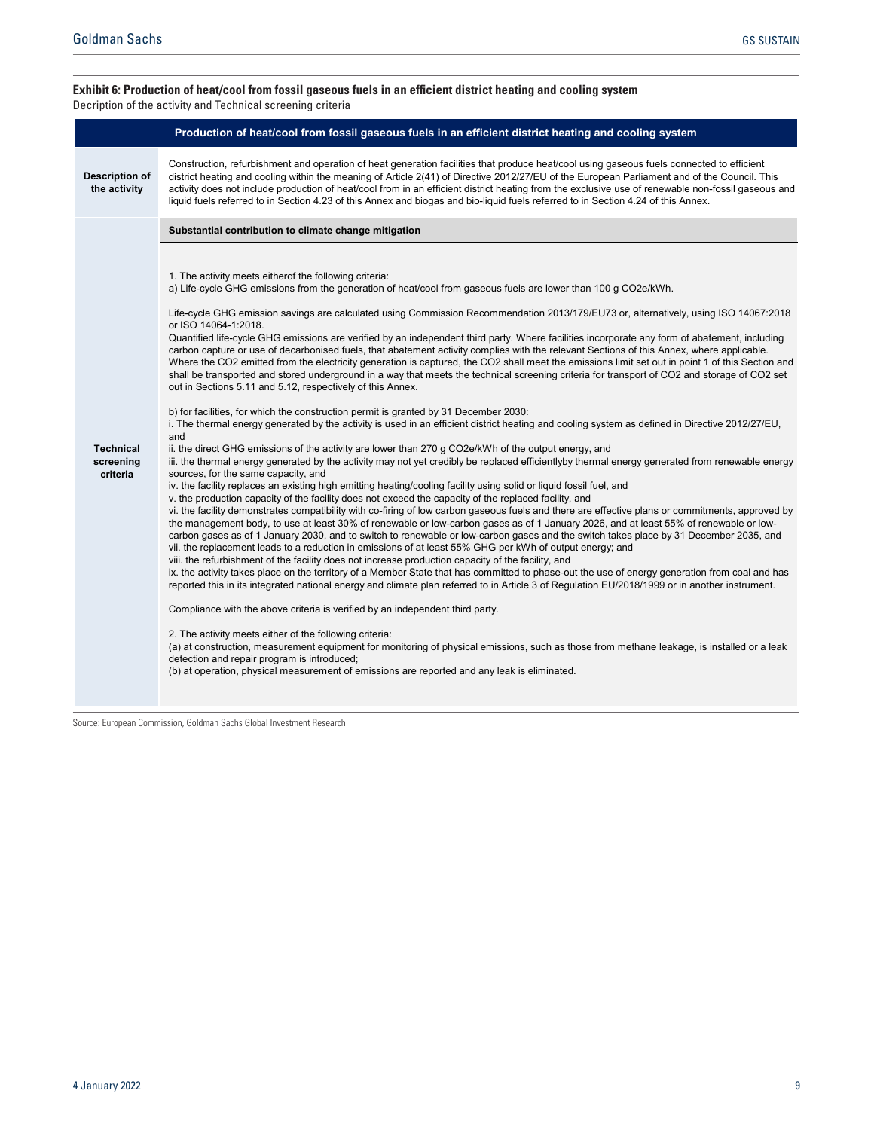#### **Exhibit 6: Production of heat/cool from fossil gaseous fuels in an efficient district heating and cooling system**

<span id="page-8-0"></span>Decription of the activity and Technical screening criteria

|                                           | Production of heat/cool from fossil gaseous fuels in an efficient district heating and cooling system                                                                                                                                                                                                                                                                                                                                                                                                                                                                                                                                                                                                                                                                                                                                                                                                                                                                                                                                                                                                                                                                                                                                                                                                                                                                                                                                                                                                                                                                                                                                                                                                                                                                                                                                                                                                                                                                                                                                                                                                                                                                                                                                                                                                                                                                                                                                                                                                                                                                                                                                                                                                                                                                                                                                                                                                                                                                                                                                                                                                                                                                                              |  |  |  |  |  |  |
|-------------------------------------------|----------------------------------------------------------------------------------------------------------------------------------------------------------------------------------------------------------------------------------------------------------------------------------------------------------------------------------------------------------------------------------------------------------------------------------------------------------------------------------------------------------------------------------------------------------------------------------------------------------------------------------------------------------------------------------------------------------------------------------------------------------------------------------------------------------------------------------------------------------------------------------------------------------------------------------------------------------------------------------------------------------------------------------------------------------------------------------------------------------------------------------------------------------------------------------------------------------------------------------------------------------------------------------------------------------------------------------------------------------------------------------------------------------------------------------------------------------------------------------------------------------------------------------------------------------------------------------------------------------------------------------------------------------------------------------------------------------------------------------------------------------------------------------------------------------------------------------------------------------------------------------------------------------------------------------------------------------------------------------------------------------------------------------------------------------------------------------------------------------------------------------------------------------------------------------------------------------------------------------------------------------------------------------------------------------------------------------------------------------------------------------------------------------------------------------------------------------------------------------------------------------------------------------------------------------------------------------------------------------------------------------------------------------------------------------------------------------------------------------------------------------------------------------------------------------------------------------------------------------------------------------------------------------------------------------------------------------------------------------------------------------------------------------------------------------------------------------------------------------------------------------------------------------------------------------------------------|--|--|--|--|--|--|
| Description of<br>the activity            | Construction, refurbishment and operation of heat generation facilities that produce heat/cool using gaseous fuels connected to efficient<br>district heating and cooling within the meaning of Article 2(41) of Directive 2012/27/EU of the European Parliament and of the Council. This<br>activity does not include production of heat/cool from in an efficient district heating from the exclusive use of renewable non-fossil gaseous and<br>liquid fuels referred to in Section 4.23 of this Annex and biogas and bio-liquid fuels referred to in Section 4.24 of this Annex.                                                                                                                                                                                                                                                                                                                                                                                                                                                                                                                                                                                                                                                                                                                                                                                                                                                                                                                                                                                                                                                                                                                                                                                                                                                                                                                                                                                                                                                                                                                                                                                                                                                                                                                                                                                                                                                                                                                                                                                                                                                                                                                                                                                                                                                                                                                                                                                                                                                                                                                                                                                                               |  |  |  |  |  |  |
|                                           | Substantial contribution to climate change mitigation                                                                                                                                                                                                                                                                                                                                                                                                                                                                                                                                                                                                                                                                                                                                                                                                                                                                                                                                                                                                                                                                                                                                                                                                                                                                                                                                                                                                                                                                                                                                                                                                                                                                                                                                                                                                                                                                                                                                                                                                                                                                                                                                                                                                                                                                                                                                                                                                                                                                                                                                                                                                                                                                                                                                                                                                                                                                                                                                                                                                                                                                                                                                              |  |  |  |  |  |  |
| <b>Technical</b><br>screening<br>criteria | 1. The activity meets eitherof the following criteria:<br>a) Life-cycle GHG emissions from the generation of heat/cool from gaseous fuels are lower than 100 g CO2e/kWh.<br>Life-cycle GHG emission savings are calculated using Commission Recommendation 2013/179/EU73 or, alternatively, using ISO 14067:2018<br>or ISO 14064-1:2018.<br>Quantified life-cycle GHG emissions are verified by an independent third party. Where facilities incorporate any form of abatement, including<br>carbon capture or use of decarbonised fuels, that abatement activity complies with the relevant Sections of this Annex, where applicable.<br>Where the CO2 emitted from the electricity generation is captured, the CO2 shall meet the emissions limit set out in point 1 of this Section and<br>shall be transported and stored underground in a way that meets the technical screening criteria for transport of CO2 and storage of CO2 set<br>out in Sections 5.11 and 5.12, respectively of this Annex.<br>b) for facilities, for which the construction permit is granted by 31 December 2030:<br>i. The thermal energy generated by the activity is used in an efficient district heating and cooling system as defined in Directive 2012/27/EU,<br>and<br>ii. the direct GHG emissions of the activity are lower than 270 g CO2e/kWh of the output energy, and<br>iii. the thermal energy generated by the activity may not yet credibly be replaced efficientlyby thermal energy generated from renewable energy<br>sources, for the same capacity, and<br>iv. the facility replaces an existing high emitting heating/cooling facility using solid or liquid fossil fuel, and<br>v. the production capacity of the facility does not exceed the capacity of the replaced facility, and<br>vi. the facility demonstrates compatibility with co-firing of low carbon gaseous fuels and there are effective plans or commitments, approved by<br>the management body, to use at least 30% of renewable or low-carbon gases as of 1 January 2026, and at least 55% of renewable or low-<br>carbon gases as of 1 January 2030, and to switch to renewable or low-carbon gases and the switch takes place by 31 December 2035, and<br>vii. the replacement leads to a reduction in emissions of at least 55% GHG per kWh of output energy; and<br>viii. the refurbishment of the facility does not increase production capacity of the facility, and<br>ix. the activity takes place on the territory of a Member State that has committed to phase-out the use of energy generation from coal and has<br>reported this in its integrated national energy and climate plan referred to in Article 3 of Regulation EU/2018/1999 or in another instrument.<br>Compliance with the above criteria is verified by an independent third party.<br>2. The activity meets either of the following criteria:<br>(a) at construction, measurement equipment for monitoring of physical emissions, such as those from methane leakage, is installed or a leak<br>detection and repair program is introduced;<br>(b) at operation, physical measurement of emissions are reported and any leak is eliminated. |  |  |  |  |  |  |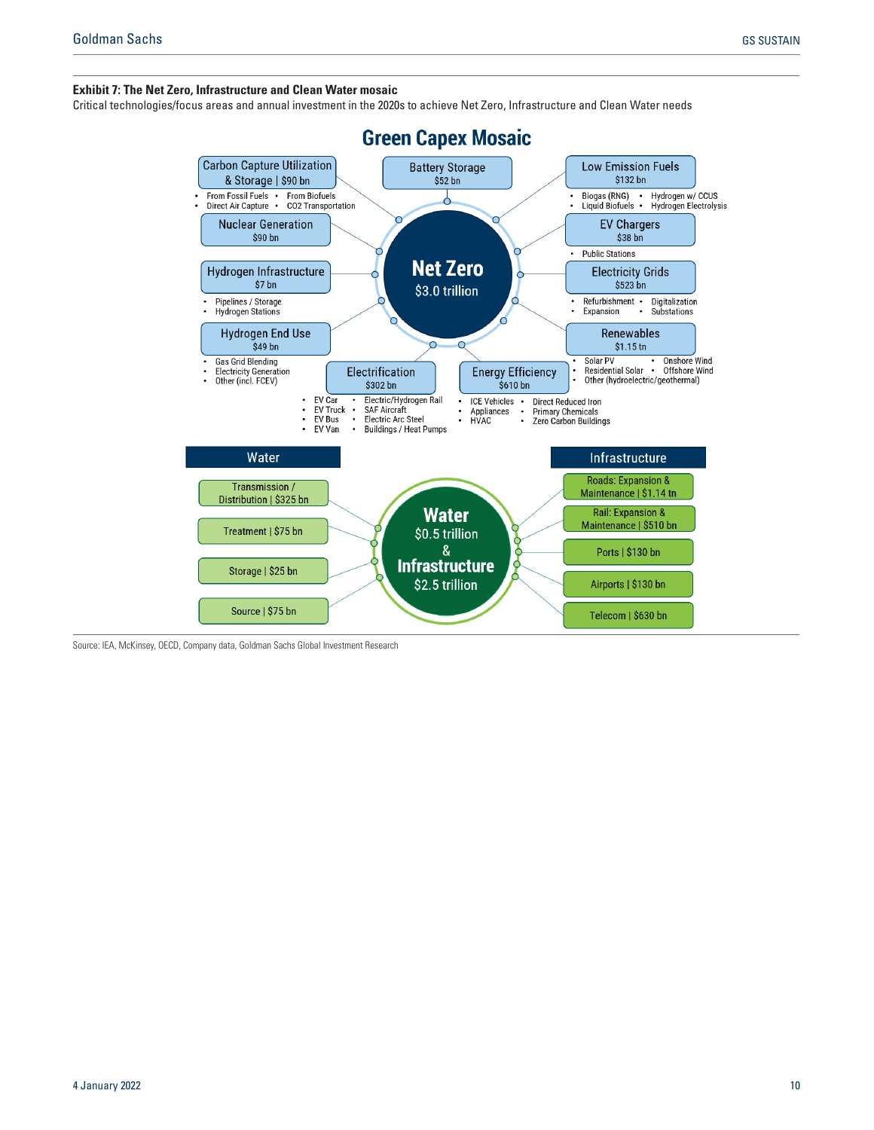#### **Exhibit 7: The Net Zero, Infrastructure and Clean Water mosaic**

Critical technologies/focus areas and annual investment in the 2020s to achieve Net Zero, Infrastructure and Clean Water needs



Source: IEA, McKinsey, OECD, Company data, Goldman Sachs Global Investment Research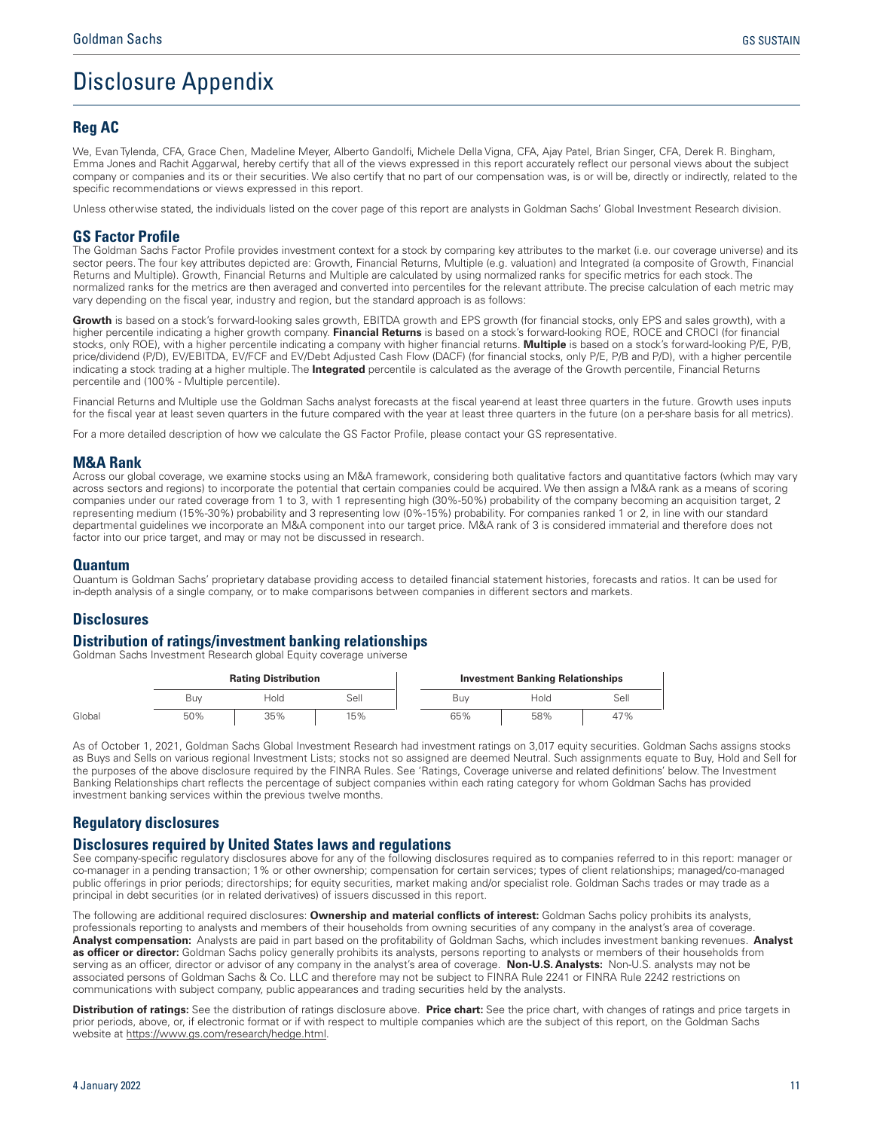# Disclosure Appendix

### **Reg AC**

We, Evan Tylenda, CFA, Grace Chen, Madeline Meyer, Alberto Gandolfi, Michele Della Vigna, CFA, Ajay Patel, Brian Singer, CFA, Derek R. Bingham, Emma Jones and Rachit Aggarwal, hereby certify that all of the views expressed in this report accurately reflect our personal views about the subject company or companies and its or their securities. We also certify that no part of our compensation was, is or will be, directly or indirectly, related to the specific recommendations or views expressed in this report.

Unless otherwise stated, the individuals listed on the cover page of this report are analysts in Goldman Sachs' Global Investment Research division.

#### **GS Factor Profile**

The Goldman Sachs Factor Profile provides investment context for a stock by comparing key attributes to the market (i.e. our coverage universe) and its sector peers. The four key attributes depicted are: Growth, Financial Returns, Multiple (e.g. valuation) and Integrated (a composite of Growth, Financial Returns and Multiple). Growth, Financial Returns and Multiple are calculated by using normalized ranks for specific metrics for each stock. The normalized ranks for the metrics are then averaged and converted into percentiles for the relevant attribute. The precise calculation of each metric may vary depending on the fiscal year, industry and region, but the standard approach is as follows:

Growth is based on a stock's forward-looking sales growth, EBITDA growth and EPS growth (for financial stocks, only EPS and sales growth), with a higher percentile indicating a higher growth company. **Financial Returns** is based on a stock's forward-looking ROE, ROCE and CROCI (for financial stocks, only ROE), with a higher percentile indicating a company with higher financial returns. **Multiple** is based on a stock's forward-looking P/E, P/B, price/dividend (P/D), EV/EBITDA, EV/FCF and EV/Debt Adjusted Cash Flow (DACF) (for financial stocks, only P/E, P/B and P/D), with a higher percentile indicating a stock trading at a higher multiple. The **Integrated** percentile is calculated as the average of the Growth percentile, Financial Returns percentile and (100% - Multiple percentile).

Financial Returns and Multiple use the Goldman Sachs analyst forecasts at the fiscal year-end at least three quarters in the future. Growth uses inputs for the fiscal year at least seven quarters in the future compared with the year at least three quarters in the future (on a per-share basis for all metrics).

For a more detailed description of how we calculate the GS Factor Profile, please contact your GS representative.

#### **M&A Rank**

Across our global coverage, we examine stocks using an M&A framework, considering both qualitative factors and quantitative factors (which may vary across sectors and regions) to incorporate the potential that certain companies could be acquired. We then assign a M&A rank as a means of scoring companies under our rated coverage from 1 to 3, with 1 representing high (30%-50%) probability of the company becoming an acquisition target, 2 representing medium (15%-30%) probability and 3 representing low (0%-15%) probability. For companies ranked 1 or 2, in line with our standard departmental guidelines we incorporate an M&A component into our target price. M&A rank of 3 is considered immaterial and therefore does not factor into our price target, and may or may not be discussed in research.

#### **Quantum**

Quantum is Goldman Sachs' proprietary database providing access to detailed financial statement histories, forecasts and ratios. It can be used for in-depth analysis of a single company, or to make comparisons between companies in different sectors and markets.

#### **Disclosures**

#### **Distribution of ratings/investment banking relationships**

Goldman Sachs Investment Research global Equity coverage universe

|        | <b>Rating Distribution</b> |      |      | <b>Investment Banking Relationships</b> |     |      |      |
|--------|----------------------------|------|------|-----------------------------------------|-----|------|------|
|        | Buv                        | Hold | Sell |                                         | Buv | Hold | Sell |
| Global | 50%                        | 35%  | 15%  |                                         | 65% | 58%  | 47%  |

As of October 1, 2021, Goldman Sachs Global Investment Research had investment ratings on 3,017 equity securities. Goldman Sachs assigns stocks as Buys and Sells on various regional Investment Lists; stocks not so assigned are deemed Neutral. Such assignments equate to Buy, Hold and Sell for the purposes of the above disclosure required by the FINRA Rules. See 'Ratings, Coverage universe and related definitions' below. The Investment Banking Relationships chart reflects the percentage of subject companies within each rating category for whom Goldman Sachs has provided investment banking services within the previous twelve months.

### **Regulatory disclosures**

#### **Disclosures required by United States laws and regulations**

See company-specific regulatory disclosures above for any of the following disclosures required as to companies referred to in this report: manager or co-manager in a pending transaction; 1% or other ownership; compensation for certain services; types of client relationships; managed/co-managed public offerings in prior periods; directorships; for equity securities, market making and/or specialist role. Goldman Sachs trades or may trade as a principal in debt securities (or in related derivatives) of issuers discussed in this report.

The following are additional required disclosures: **Ownership and material conflicts of interest:** Goldman Sachs policy prohibits its analysts, professionals reporting to analysts and members of their households from owning securities of any company in the analyst's area of coverage. **Analyst compensation:** Analysts are paid in part based on the profitability of Goldman Sachs, which includes investment banking revenues. **Analyst as officer or director:** Goldman Sachs policy generally prohibits its analysts, persons reporting to analysts or members of their households from serving as an officer, director or advisor of any company in the analyst's area of coverage. **Non-U.S. Analysts:** Non-U.S. analysts may not be associated persons of Goldman Sachs & Co. LLC and therefore may not be subject to FINRA Rule 2241 or FINRA Rule 2242 restrictions on communications with subject company, public appearances and trading securities held by the analysts.

**Distribution of ratings:** See the distribution of ratings disclosure above. **Price chart:** See the price chart, with changes of ratings and price targets in prior periods, above, or, if electronic format or if with respect to multiple companies which are the subject of this report, on the Goldman Sachs website at [https://www.gs.com/research/hedge.html.](https://www.gs.com/research/hedge.html)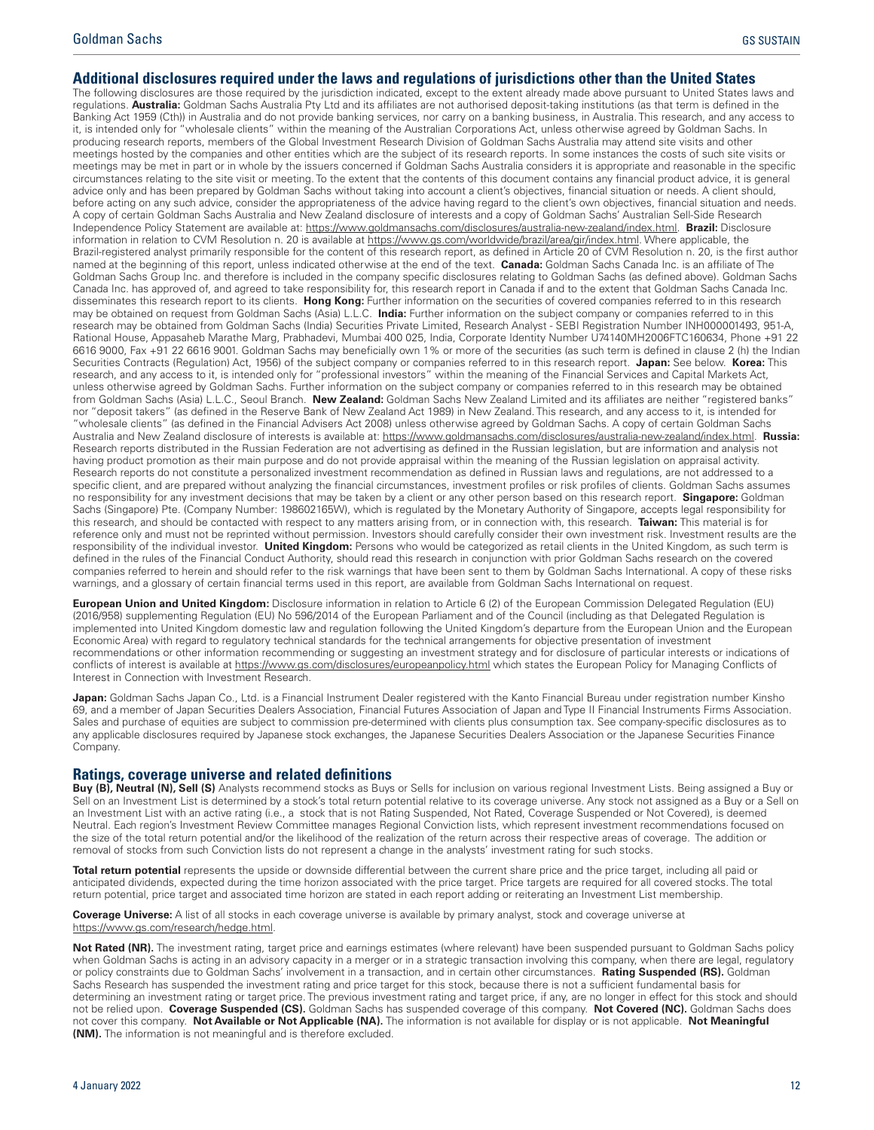#### **Additional disclosures required under the laws and regulations of jurisdictions other than the United States**

The following disclosures are those required by the jurisdiction indicated, except to the extent already made above pursuant to United States laws and regulations. **Australia:** Goldman Sachs Australia Pty Ltd and its affiliates are not authorised deposit-taking institutions (as that term is defined in the Banking Act 1959 (Cth)) in Australia and do not provide banking services, nor carry on a banking business, in Australia. This research, and any access to it, is intended only for "wholesale clients" within the meaning of the Australian Corporations Act, unless otherwise agreed by Goldman Sachs. In producing research reports, members of the Global Investment Research Division of Goldman Sachs Australia may attend site visits and other meetings hosted by the companies and other entities which are the subject of its research reports. In some instances the costs of such site visits or meetings may be met in part or in whole by the issuers concerned if Goldman Sachs Australia considers it is appropriate and reasonable in the specific circumstances relating to the site visit or meeting. To the extent that the contents of this document contains any financial product advice, it is general advice only and has been prepared by Goldman Sachs without taking into account a client's objectives, financial situation or needs. A client should, before acting on any such advice, consider the appropriateness of the advice having regard to the client's own objectives, financial situation and needs. A copy of certain Goldman Sachs Australia and New Zealand disclosure of interests and a copy of Goldman Sachs' Australian Sell-Side Research Independence Policy Statement are available at: [https://www.goldmansachs.com/disclosures/australia-new-zealand/index.html.](https://www.goldmansachs.com/disclosures/australia-new-zealand/index.html) **Brazil:** Disclosure information in relation to CVM Resolution n. 20 is available at [https://www.gs.com/worldwide/brazil/area/gir/index.html.](https://www.gs.com/worldwide/brazil/area/gir/index.html) Where applicable, the Brazil-registered analyst primarily responsible for the content of this research report, as defined in Article 20 of CVM Resolution n. 20, is the first author named at the beginning of this report, unless indicated otherwise at the end of the text. **Canada:** Goldman Sachs Canada Inc. is an affiliate of The Goldman Sachs Group Inc. and therefore is included in the company specific disclosures relating to Goldman Sachs (as defined above). Goldman Sachs Canada Inc. has approved of, and agreed to take responsibility for, this research report in Canada if and to the extent that Goldman Sachs Canada Inc. disseminates this research report to its clients. **Hong Kong:** Further information on the securities of covered companies referred to in this research may be obtained on request from Goldman Sachs (Asia) L.L.C. **India:** Further information on the subject company or companies referred to in this research may be obtained from Goldman Sachs (India) Securities Private Limited, Research Analyst - SEBI Registration Number INH000001493, 951-A, Rational House, Appasaheb Marathe Marg, Prabhadevi, Mumbai 400 025, India, Corporate Identity Number U74140MH2006FTC160634, Phone +91 22 6616 9000, Fax +91 22 6616 9001. Goldman Sachs may beneficially own 1% or more of the securities (as such term is defined in clause 2 (h) the Indian Securities Contracts (Regulation) Act, 1956) of the subject company or companies referred to in this research report. **Japan:** See below. **Korea:** This research, and any access to it, is intended only for "professional investors" within the meaning of the Financial Services and Capital Markets Act, unless otherwise agreed by Goldman Sachs. Further information on the subject company or companies referred to in this research may be obtained from Goldman Sachs (Asia) L.L.C., Seoul Branch. **New Zealand:** Goldman Sachs New Zealand Limited and its affiliates are neither "registered banks" nor "deposit takers" (as defined in the Reserve Bank of New Zealand Act 1989) in New Zealand. This research, and any access to it, is intended for "wholesale clients" (as defined in the Financial Advisers Act 2008) unless otherwise agreed by Goldman Sachs. A copy of certain Goldman Sachs Australia and New Zealand disclosure of interests is available at: [https://www.goldmansachs.com/disclosures/australia-new-zealand/index.html.](https://www.goldmansachs.com/disclosures/australia-new-zealand/index.html) **Russia:** Research reports distributed in the Russian Federation are not advertising as defined in the Russian legislation, but are information and analysis not having product promotion as their main purpose and do not provide appraisal within the meaning of the Russian legislation on appraisal activity. Research reports do not constitute a personalized investment recommendation as defined in Russian laws and regulations, are not addressed to a specific client, and are prepared without analyzing the financial circumstances, investment profiles or risk profiles of clients. Goldman Sachs assumes no responsibility for any investment decisions that may be taken by a client or any other person based on this research report. **Singapore:** Goldman Sachs (Singapore) Pte. (Company Number: 198602165W), which is regulated by the Monetary Authority of Singapore, accepts legal responsibility for this research, and should be contacted with respect to any matters arising from, or in connection with, this research. **Taiwan:** This material is for reference only and must not be reprinted without permission. Investors should carefully consider their own investment risk. Investment results are the responsibility of the individual investor. **United Kingdom:** Persons who would be categorized as retail clients in the United Kingdom, as such term is defined in the rules of the Financial Conduct Authority, should read this research in conjunction with prior Goldman Sachs research on the covered companies referred to herein and should refer to the risk warnings that have been sent to them by Goldman Sachs International. A copy of these risks warnings, and a glossary of certain financial terms used in this report, are available from Goldman Sachs International on request.

**European Union and United Kingdom:** Disclosure information in relation to Article 6 (2) of the European Commission Delegated Regulation (EU) (2016/958) supplementing Regulation (EU) No 596/2014 of the European Parliament and of the Council (including as that Delegated Regulation is implemented into United Kingdom domestic law and regulation following the United Kingdom's departure from the European Union and the European Economic Area) with regard to regulatory technical standards for the technical arrangements for objective presentation of investment recommendations or other information recommending or suggesting an investment strategy and for disclosure of particular interests or indications of conflicts of interest is available at<https://www.gs.com/disclosures/europeanpolicy.html>which states the European Policy for Managing Conflicts of Interest in Connection with Investment Research.

**Japan:** Goldman Sachs Japan Co., Ltd. is a Financial Instrument Dealer registered with the Kanto Financial Bureau under registration number Kinsho 69, and a member of Japan Securities Dealers Association, Financial Futures Association of Japan and Type II Financial Instruments Firms Association. Sales and purchase of equities are subject to commission pre-determined with clients plus consumption tax. See company-specific disclosures as to any applicable disclosures required by Japanese stock exchanges, the Japanese Securities Dealers Association or the Japanese Securities Finance Company.

#### **Ratings, coverage universe and related definitions**

**Buy (B), Neutral (N), Sell (S)** Analysts recommend stocks as Buys or Sells for inclusion on various regional Investment Lists. Being assigned a Buy or Sell on an Investment List is determined by a stock's total return potential relative to its coverage universe. Any stock not assigned as a Buy or a Sell on an Investment List with an active rating (i.e., a stock that is not Rating Suspended, Not Rated, Coverage Suspended or Not Covered), is deemed Neutral. Each region's Investment Review Committee manages Regional Conviction lists, which represent investment recommendations focused on the size of the total return potential and/or the likelihood of the realization of the return across their respective areas of coverage. The addition or removal of stocks from such Conviction lists do not represent a change in the analysts' investment rating for such stocks.

Total return potential represents the upside or downside differential between the current share price and the price target, including all paid or anticipated dividends, expected during the time horizon associated with the price target. Price targets are required for all covered stocks. The total return potential, price target and associated time horizon are stated in each report adding or reiterating an Investment List membership.

**Coverage Universe:** A list of all stocks in each coverage universe is available by primary analyst, stock and coverage universe at [https://www.gs.com/research/hedge.html.](https://www.gs.com/research/hedge.html)

**Not Rated (NR).** The investment rating, target price and earnings estimates (where relevant) have been suspended pursuant to Goldman Sachs policy when Goldman Sachs is acting in an advisory capacity in a merger or in a strategic transaction involving this company, when there are legal, regulatory or policy constraints due to Goldman Sachs' involvement in a transaction, and in certain other circumstances. **Rating Suspended (RS).** Goldman Sachs Research has suspended the investment rating and price target for this stock, because there is not a sufficient fundamental basis for determining an investment rating or target price. The previous investment rating and target price, if any, are no longer in effect for this stock and should not be relied upon. **Coverage Suspended (CS).** Goldman Sachs has suspended coverage of this company. **Not Covered (NC).** Goldman Sachs does not cover this company. **Not Available or Not Applicable (NA).** The information is not available for display or is not applicable. **Not Meaningful (NM).** The information is not meaningful and is therefore excluded.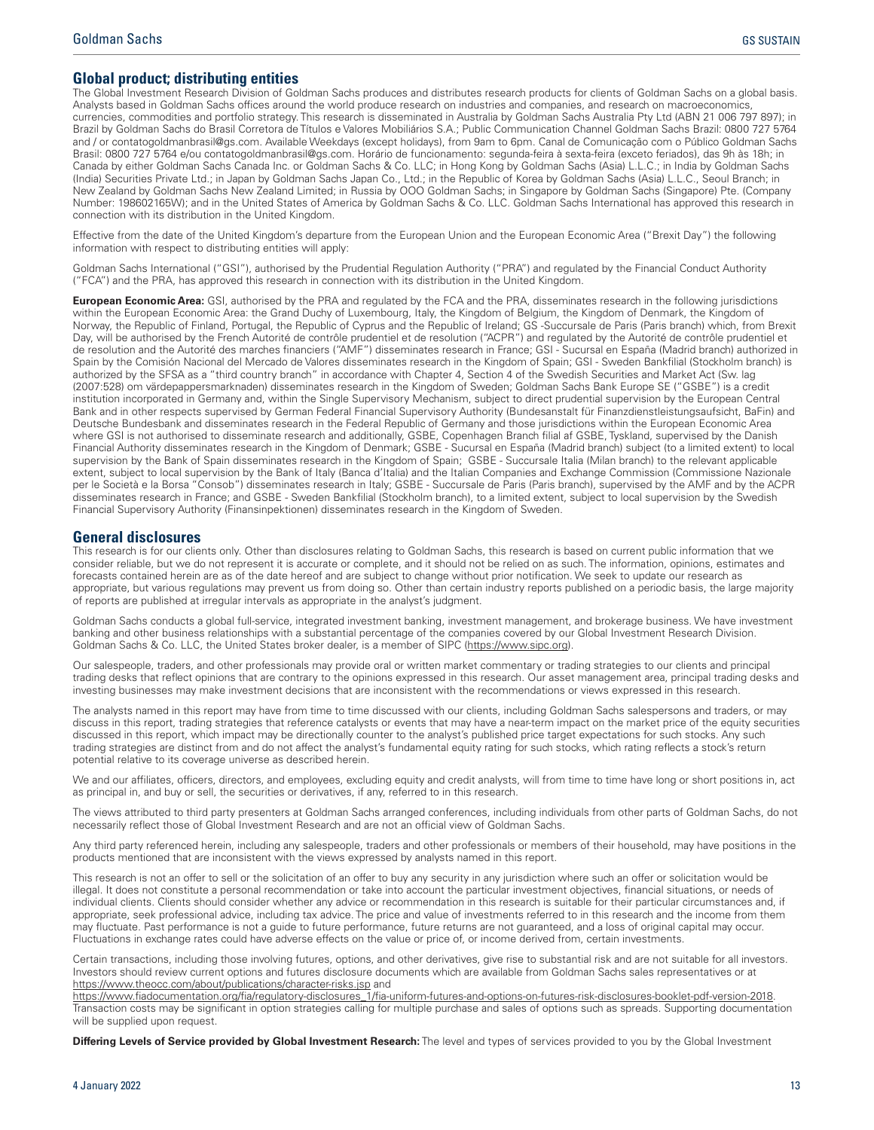#### **Global product; distributing entities**

The Global Investment Research Division of Goldman Sachs produces and distributes research products for clients of Goldman Sachs on a global basis. Analysts based in Goldman Sachs offices around the world produce research on industries and companies, and research on macroeconomics, currencies, commodities and portfolio strategy. This research is disseminated in Australia by Goldman Sachs Australia Pty Ltd (ABN 21 006 797 897); in Brazil by Goldman Sachs do Brasil Corretora de Títulos e Valores Mobiliários S.A.; Public Communication Channel Goldman Sachs Brazil: 0800 727 5764 and / or contatogoldmanbrasil@gs.com. Available Weekdays (except holidays), from 9am to 6pm. Canal de Comunicação com o Público Goldman Sachs Brasil: 0800 727 5764 e/ou contatogoldmanbrasil@gs.com. Horário de funcionamento: segunda-feira à sexta-feira (exceto feriados), das 9h às 18h; in Canada by either Goldman Sachs Canada Inc. or Goldman Sachs & Co. LLC; in Hong Kong by Goldman Sachs (Asia) L.L.C.; in India by Goldman Sachs (India) Securities Private Ltd.; in Japan by Goldman Sachs Japan Co., Ltd.; in the Republic of Korea by Goldman Sachs (Asia) L.L.C., Seoul Branch; in New Zealand by Goldman Sachs New Zealand Limited; in Russia by OOO Goldman Sachs; in Singapore by Goldman Sachs (Singapore) Pte. (Company Number: 198602165W); and in the United States of America by Goldman Sachs & Co. LLC. Goldman Sachs International has approved this research in connection with its distribution in the United Kingdom.

Effective from the date of the United Kingdom's departure from the European Union and the European Economic Area ("Brexit Day") the following information with respect to distributing entities will apply:

Goldman Sachs International ("GSI"), authorised by the Prudential Regulation Authority ("PRA") and regulated by the Financial Conduct Authority ("FCA") and the PRA, has approved this research in connection with its distribution in the United Kingdom.

**European Economic Area:** GSI, authorised by the PRA and regulated by the FCA and the PRA, disseminates research in the following jurisdictions within the European Economic Area: the Grand Duchy of Luxembourg, Italy, the Kingdom of Belgium, the Kingdom of Denmark, the Kingdom of Norway, the Republic of Finland, Portugal, the Republic of Cyprus and the Republic of Ireland; GS -Succursale de Paris (Paris branch) which, from Brexit Day, will be authorised by the French Autorité de contrôle prudentiel et de resolution ("ACPR") and regulated by the Autorité de contrôle prudentiel et de resolution and the Autorité des marches financiers ("AMF") disseminates research in France; GSI - Sucursal en España (Madrid branch) authorized in Spain by the Comisión Nacional del Mercado de Valores disseminates research in the Kingdom of Spain; GSI - Sweden Bankfilial (Stockholm branch) is authorized by the SFSA as a "third country branch" in accordance with Chapter 4, Section 4 of the Swedish Securities and Market Act (Sw. lag (2007:528) om värdepappersmarknaden) disseminates research in the Kingdom of Sweden; Goldman Sachs Bank Europe SE ("GSBE") is a credit institution incorporated in Germany and, within the Single Supervisory Mechanism, subject to direct prudential supervision by the European Central Bank and in other respects supervised by German Federal Financial Supervisory Authority (Bundesanstalt für Finanzdienstleistungsaufsicht, BaFin) and Deutsche Bundesbank and disseminates research in the Federal Republic of Germany and those jurisdictions within the European Economic Area where GSI is not authorised to disseminate research and additionally, GSBE, Copenhagen Branch filial af GSBE, Tyskland, supervised by the Danish Financial Authority disseminates research in the Kingdom of Denmark; GSBE - Sucursal en España (Madrid branch) subject (to a limited extent) to local supervision by the Bank of Spain disseminates research in the Kingdom of Spain; GSBE - Succursale Italia (Milan branch) to the relevant applicable extent, subject to local supervision by the Bank of Italy (Banca d'Italia) and the Italian Companies and Exchange Commission (Commissione Nazionale per le Società e la Borsa "Consob") disseminates research in Italy; GSBE - Succursale de Paris (Paris branch), supervised by the AMF and by the ACPR disseminates research in France; and GSBE - Sweden Bankfilial (Stockholm branch), to a limited extent, subject to local supervision by the Swedish Financial Supervisory Authority (Finansinpektionen) disseminates research in the Kingdom of Sweden.

#### **General disclosures**

This research is for our clients only. Other than disclosures relating to Goldman Sachs, this research is based on current public information that we consider reliable, but we do not represent it is accurate or complete, and it should not be relied on as such. The information, opinions, estimates and forecasts contained herein are as of the date hereof and are subject to change without prior notification. We seek to update our research as appropriate, but various regulations may prevent us from doing so. Other than certain industry reports published on a periodic basis, the large majority of reports are published at irregular intervals as appropriate in the analyst's judgment.

Goldman Sachs conducts a global full-service, integrated investment banking, investment management, and brokerage business. We have investment banking and other business relationships with a substantial percentage of the companies covered by our Global Investment Research Division. Goldman Sachs & Co. LLC, the United States broker dealer, is a member of SIPC [\(https://www.sipc.org\)](https://www.sipc.org).

Our salespeople, traders, and other professionals may provide oral or written market commentary or trading strategies to our clients and principal trading desks that reflect opinions that are contrary to the opinions expressed in this research. Our asset management area, principal trading desks and investing businesses may make investment decisions that are inconsistent with the recommendations or views expressed in this research.

The analysts named in this report may have from time to time discussed with our clients, including Goldman Sachs salespersons and traders, or may discuss in this report, trading strategies that reference catalysts or events that may have a near-term impact on the market price of the equity securities discussed in this report, which impact may be directionally counter to the analyst's published price target expectations for such stocks. Any such trading strategies are distinct from and do not affect the analyst's fundamental equity rating for such stocks, which rating reflects a stock's return potential relative to its coverage universe as described herein.

We and our affiliates, officers, directors, and employees, excluding equity and credit analysts, will from time to time have long or short positions in, act as principal in, and buy or sell, the securities or derivatives, if any, referred to in this research.

The views attributed to third party presenters at Goldman Sachs arranged conferences, including individuals from other parts of Goldman Sachs, do not necessarily reflect those of Global Investment Research and are not an official view of Goldman Sachs.

Any third party referenced herein, including any salespeople, traders and other professionals or members of their household, may have positions in the products mentioned that are inconsistent with the views expressed by analysts named in this report.

This research is not an offer to sell or the solicitation of an offer to buy any security in any jurisdiction where such an offer or solicitation would be illegal. It does not constitute a personal recommendation or take into account the particular investment objectives, financial situations, or needs of individual clients. Clients should consider whether any advice or recommendation in this research is suitable for their particular circumstances and, if appropriate, seek professional advice, including tax advice. The price and value of investments referred to in this research and the income from them may fluctuate. Past performance is not a guide to future performance, future returns are not guaranteed, and a loss of original capital may occur. Fluctuations in exchange rates could have adverse effects on the value or price of, or income derived from, certain investments.

Certain transactions, including those involving futures, options, and other derivatives, give rise to substantial risk and are not suitable for all investors. Investors should review current options and futures disclosure documents which are available from Goldman Sachs sales representatives or at <https://www.theocc.com/about/publications/character-risks.jsp>and

[https://www.fiadocumentation.org/fia/regulatory-disclosures\\_1/fia-uniform-futures-and-options-on-futures-risk-disclosures-booklet-pdf-version-2018.](https://www.fiadocumentation.org/fia/regulatory-disclosures_1/fia-uniform-futures-and-options-on-futures-risk-disclosures-booklet-pdf-version-2018) Transaction costs may be significant in option strategies calling for multiple purchase and sales of options such as spreads. Supporting documentation will be supplied upon request.

**Differing Levels of Service provided by Global Investment Research:** The level and types of services provided to you by the Global Investment